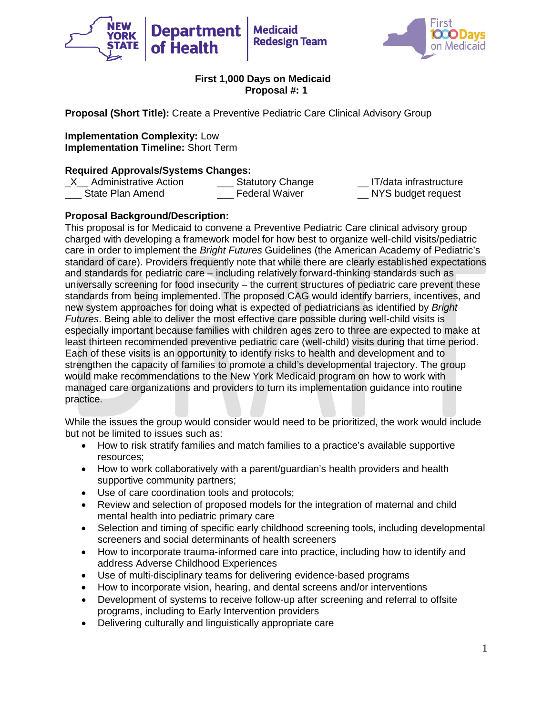



**Proposal (Short Title):** Create a Preventive Pediatric Care Clinical Advisory Group

**Implementation Complexity:** Low **Implementation Timeline:** Short Term

## **Required Approvals/Systems Changes:**

| $X$ Administrative Action | <b>Statutory Change</b> | IT/data infrastructure |
|---------------------------|-------------------------|------------------------|
| State Plan Amend          | Federal Waiver          | NYS budget request     |

## **Proposal Background/Description:**

This proposal is for Medicaid to convene a Preventive Pediatric Care clinical advisory group charged with developing a framework model for how best to organize well-child visits/pediatric care in order to implement the *Bright Futures* Guidelines (the American Academy of Pediatric's standard of care). Providers frequently note that while there are clearly established expectations and standards for pediatric care – including relatively forward-thinking standards such as universally screening for food insecurity – the current structures of pediatric care prevent these standards from being implemented. The proposed CAG would identify barriers, incentives, and new system approaches for doing what is expected of pediatricians as identified by *Bright Futures*. Being able to deliver the most effective care possible during well-child visits is especially important because families with children ages zero to three are expected to make at least thirteen recommended preventive pediatric care (well-child) visits during that time period. Each of these visits is an opportunity to identify risks to health and development and to strengthen the capacity of families to promote a child's developmental trajectory. The group would make recommendations to the New York Medicaid program on how to work with managed care organizations and providers to turn its implementation guidance into routine practice.

While the issues the group would consider would need to be prioritized, the work would include but not be limited to issues such as:

- How to risk stratify families and match families to a practice's available supportive resources;
- How to work collaboratively with a parent/guardian's health providers and health supportive community partners;
- Use of care coordination tools and protocols;
- Review and selection of proposed models for the integration of maternal and child mental health into pediatric primary care
- Selection and timing of specific early childhood screening tools, including developmental screeners and social determinants of health screeners
- How to incorporate trauma-informed care into practice, including how to identify and address Adverse Childhood Experiences
- Use of multi-disciplinary teams for delivering evidence-based programs
- How to incorporate vision, hearing, and dental screens and/or interventions
- Development of systems to receive follow-up after screening and referral to offsite programs, including to Early Intervention providers
- Delivering culturally and linguistically appropriate care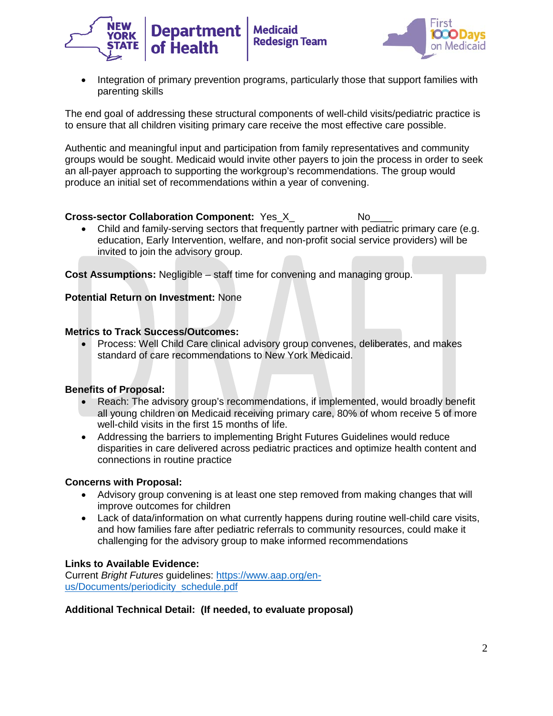



• Integration of primary prevention programs, particularly those that support families with parenting skills

The end goal of addressing these structural components of well-child visits/pediatric practice is to ensure that all children visiting primary care receive the most effective care possible.

Authentic and meaningful input and participation from family representatives and community groups would be sought. Medicaid would invite other payers to join the process in order to seek an all-payer approach to supporting the workgroup's recommendations. The group would produce an initial set of recommendations within a year of convening.

# **Cross-sector Collaboration Component:** Yes X No

• Child and family-serving sectors that frequently partner with pediatric primary care (e.g. education, Early Intervention, welfare, and non-profit social service providers) will be invited to join the advisory group.

**Cost Assumptions:** Negligible – staff time for convening and managing group.

## **Potential Return on Investment:** None

## **Metrics to Track Success/Outcomes:**

• Process: Well Child Care clinical advisory group convenes, deliberates, and makes standard of care recommendations to New York Medicaid.

## **Benefits of Proposal:**

- Reach: The advisory group's recommendations, if implemented, would broadly benefit all young children on Medicaid receiving primary care, 80% of whom receive 5 of more well-child visits in the first 15 months of life.
- Addressing the barriers to implementing Bright Futures Guidelines would reduce disparities in care delivered across pediatric practices and optimize health content and connections in routine practice

## **Concerns with Proposal:**

- Advisory group convening is at least one step removed from making changes that will improve outcomes for children
- Lack of data/information on what currently happens during routine well-child care visits, and how families fare after pediatric referrals to community resources, could make it challenging for the advisory group to make informed recommendations

## **Links to Available Evidence:**

Current *Bright Futures* guidelines: [https://www.aap.org/en](https://www.aap.org/en-us/Documents/periodicity_schedule.pdf)[us/Documents/periodicity\\_schedule.pdf](https://www.aap.org/en-us/Documents/periodicity_schedule.pdf)

## **Additional Technical Detail: (If needed, to evaluate proposal)**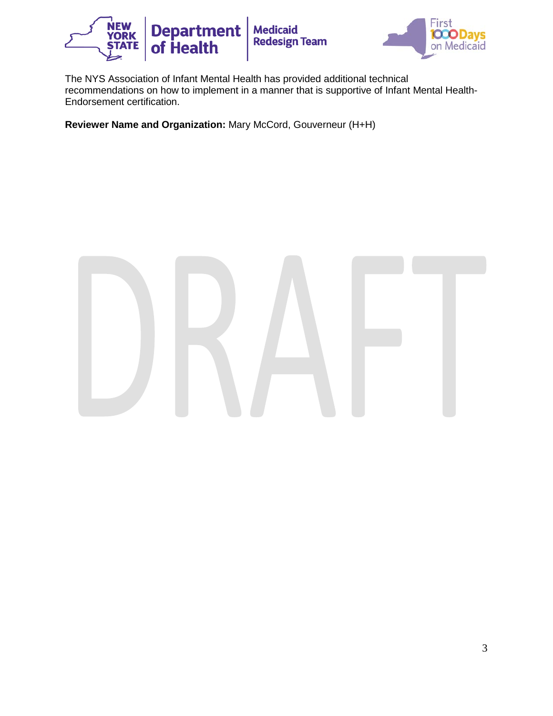



The NYS Association of Infant Mental Health has provided additional technical recommendations on how to implement in a manner that is supportive of Infant Mental Health-Endorsement certification.

**Reviewer Name and Organization:** Mary McCord, Gouverneur (H+H)

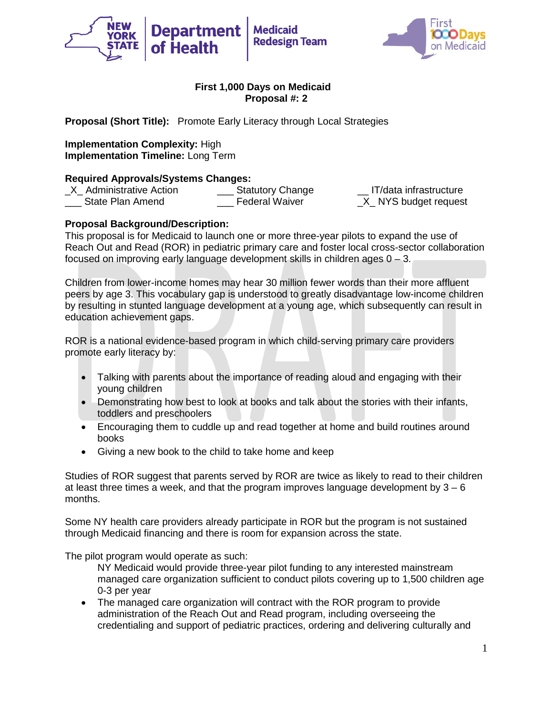



**Proposal (Short Title):** Promote Early Literacy through Local Strategies

**Implementation Complexity:** High **Implementation Timeline:** Long Term

**Required Approvals/Systems Changes:**<br>X Administrative Action **Statutory Change** \_X\_ Administrative Action \_\_\_ Statutory Change \_\_ IT/data infrastructure State Plan Amend **Example 2** Federal Waiver **Example 2** NYS budget request

# **Proposal Background/Description:**

This proposal is for Medicaid to launch one or more three-year pilots to expand the use of Reach Out and Read (ROR) in pediatric primary care and foster local cross-sector collaboration focused on improving early language development skills in children ages  $0 - 3$ .

Children from lower-income homes may hear 30 million fewer words than their more affluent peers by age 3. This vocabulary gap is understood to greatly disadvantage low-income children by resulting in stunted language development at a young age, which subsequently can result in education achievement gaps.

ROR is a national evidence-based program in which child-serving primary care providers promote early literacy by:

- Talking with parents about the importance of reading aloud and engaging with their young children
- Demonstrating how best to look at books and talk about the stories with their infants, toddlers and preschoolers
- Encouraging them to cuddle up and read together at home and build routines around books
- Giving a new book to the child to take home and keep

Studies of ROR suggest that parents served by ROR are twice as likely to read to their children at least three times a week, and that the program improves language development by  $3 - 6$ months.

Some NY health care providers already participate in ROR but the program is not sustained through Medicaid financing and there is room for expansion across the state.

The pilot program would operate as such:

NY Medicaid would provide three-year pilot funding to any interested mainstream managed care organization sufficient to conduct pilots covering up to 1,500 children age 0-3 per year

• The managed care organization will contract with the ROR program to provide administration of the Reach Out and Read program, including overseeing the credentialing and support of pediatric practices, ordering and delivering culturally and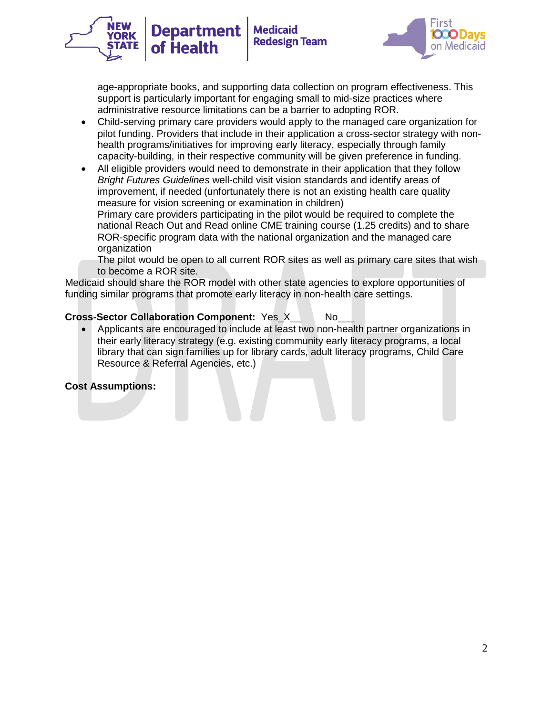

age-appropriate books, and supporting data collection on program effectiveness. This support is particularly important for engaging small to mid-size practices where administrative resource limitations can be a barrier to adopting ROR.

- Child-serving primary care providers would apply to the managed care organization for pilot funding. Providers that include in their application a cross-sector strategy with nonhealth programs/initiatives for improving early literacy, especially through family capacity-building, in their respective community will be given preference in funding.
- All eligible providers would need to demonstrate in their application that they follow *Bright Futures Guidelines* well-child visit vision standards and identify areas of improvement, if needed (unfortunately there is not an existing health care quality measure for vision screening or examination in children)

Primary care providers participating in the pilot would be required to complete the national Reach Out and Read online CME training course (1.25 credits) and to share ROR-specific program data with the national organization and the managed care organization

The pilot would be open to all current ROR sites as well as primary care sites that wish to become a ROR site.

Medicaid should share the ROR model with other state agencies to explore opportunities of funding similar programs that promote early literacy in non-health care settings.

# **Cross-Sector Collaboration Component:** Yes\_X\_\_ No\_\_\_

**Department** 

of Health

• Applicants are encouraged to include at least two non-health partner organizations in their early literacy strategy (e.g. existing community early literacy programs, a local library that can sign families up for library cards, adult literacy programs, Child Care Resource & Referral Agencies, etc.)

## **Cost Assumptions:**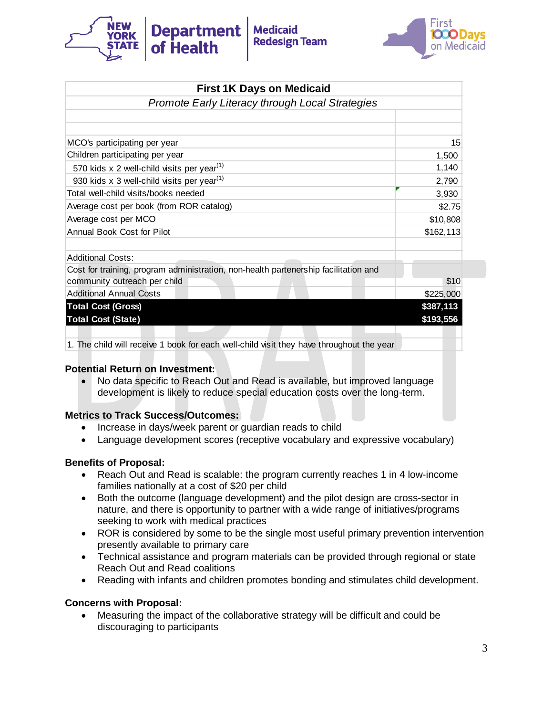



| <b>First 1K Days on Medicaid</b>                                                         |            |
|------------------------------------------------------------------------------------------|------------|
| <b>Promote Early Literacy through Local Strategies</b>                                   |            |
|                                                                                          |            |
|                                                                                          |            |
| MCO's participating per year                                                             | 15         |
| Children participating per year                                                          | 1,500      |
| 570 kids x 2 well-child visits per year <sup>(1)</sup>                                   | 1,140      |
| 930 kids x 3 well-child visits per year <sup>(1)</sup>                                   | 2,790      |
| Total well-child visits/books needed                                                     | 3,930      |
| Average cost per book (from ROR catalog)                                                 | \$2.75     |
| Average cost per MCO                                                                     | \$10,808   |
| Annual Book Cost for Pilot                                                               | \$162, 113 |
|                                                                                          |            |
| <b>Additional Costs:</b>                                                                 |            |
| Cost for training, program administration, non-health partenership facilitation and      |            |
| community outreach per child                                                             | \$10       |
| <b>Additional Annual Costs</b>                                                           | \$225,000  |
| <b>Total Cost (Gross)</b>                                                                | \$387,113  |
| <b>Total Cost (State)</b>                                                                | \$193,556  |
|                                                                                          |            |
| 1. The child will receive 1 book for each well-child visit they have throughout the year |            |

#### **Potential Return on Investment:**

• No data specific to Reach Out and Read is available, but improved language development is likely to reduce special education costs over the long-term.

## **Metrics to Track Success/Outcomes:**

- Increase in days/week parent or guardian reads to child
- Language development scores (receptive vocabulary and expressive vocabulary)

## **Benefits of Proposal:**

- Reach Out and Read is scalable: the program currently reaches 1 in 4 low-income families nationally at a cost of \$20 per child
- Both the outcome (language development) and the pilot design are cross-sector in nature, and there is opportunity to partner with a wide range of initiatives/programs seeking to work with medical practices
- ROR is considered by some to be the single most useful primary prevention intervention presently available to primary care
- Technical assistance and program materials can be provided through regional or state Reach Out and Read coalitions
- Reading with infants and children promotes bonding and stimulates child development.

## **Concerns with Proposal:**

• Measuring the impact of the collaborative strategy will be difficult and could be discouraging to participants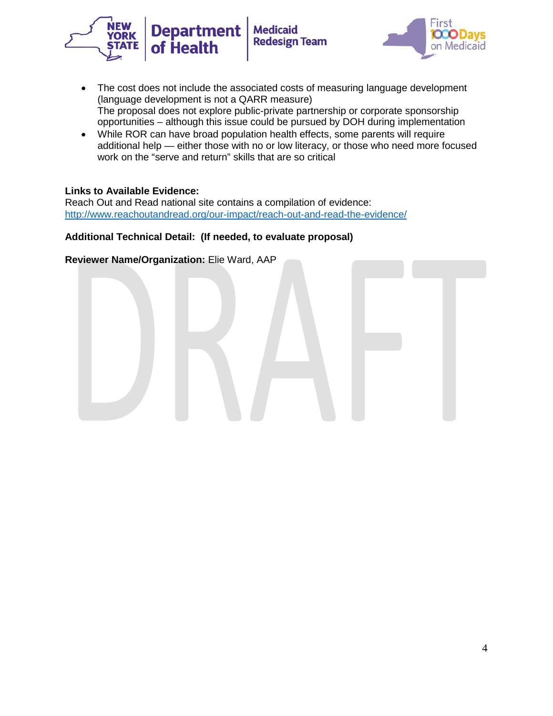



- The cost does not include the associated costs of measuring language development (language development is not a QARR measure) The proposal does not explore public-private partnership or corporate sponsorship opportunities – although this issue could be pursued by DOH during implementation
- While ROR can have broad population health effects, some parents will require additional help — either those with no or low literacy, or those who need more focused work on the "serve and return" skills that are so critical

#### **Links to Available Evidence:**

Reach Out and Read national site contains a compilation of evidence: <http://www.reachoutandread.org/our-impact/reach-out-and-read-the-evidence/>

#### **Additional Technical Detail: (If needed, to evaluate proposal)**

**Reviewer Name/Organization:** Elie Ward, AAP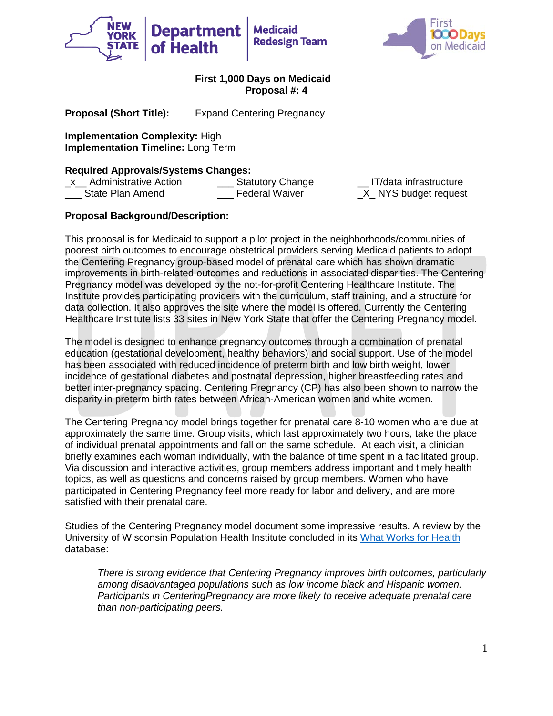



**Proposal (Short Title):** Expand Centering Pregnancy

**Implementation Complexity:** High **Implementation Timeline:** Long Term

## **Required Approvals/Systems Changes:**

\_x\_\_ Administrative Action Statutory Change \_\_ IT/data infrastructure<br>\_\_\_ State Plan Amend \_\_\_ Federal Waiver \_X\_ NYS budget request

 $X$  NYS budget request

# **Proposal Background/Description:**

This proposal is for Medicaid to support a pilot project in the neighborhoods/communities of poorest birth outcomes to encourage obstetrical providers serving Medicaid patients to adopt the Centering Pregnancy group-based model of prenatal care which has shown dramatic improvements in birth-related outcomes and reductions in associated disparities. The Centering Pregnancy model was developed by the not-for-profit Centering Healthcare Institute. The Institute provides participating providers with the curriculum, staff training, and a structure for data collection. It also approves the site where the model is offered. Currently the Centering Healthcare Institute lists 33 sites in New York State that offer the Centering Pregnancy model.

The model is designed to enhance pregnancy outcomes through a combination of prenatal education (gestational development, healthy behaviors) and social support. Use of the model has been associated with reduced incidence of preterm birth and low birth weight, lower incidence of gestational diabetes and postnatal depression, higher breastfeeding rates and better inter-pregnancy spacing. Centering Pregnancy (CP) has also been shown to narrow the disparity in preterm birth rates between African-American women and white women.

The Centering Pregnancy model brings together for prenatal care 8-10 women who are due at approximately the same time. Group visits, which last approximately two hours, take the place of individual prenatal appointments and fall on the same schedule. At each visit, a clinician briefly examines each woman individually, with the balance of time spent in a facilitated group. Via discussion and interactive activities, group members address important and timely health topics, as well as questions and concerns raised by group members. Women who have participated in Centering Pregnancy feel more ready for labor and delivery, and are more satisfied with their prenatal care.

Studies of the Centering Pregnancy model document some impressive results. A review by the University of Wisconsin Population Health Institute concluded in its [What Works for Health](http://whatworksforhealth.wisc.edu/program.php?t1=22&t2=16&t3=110&id=433) database:

*There is strong evidence that Centering Pregnancy improves birth outcomes, particularly among disadvantaged populations such as low income black and Hispanic women. Participants in CenteringPregnancy are more likely to receive adequate prenatal care than non-participating peers.*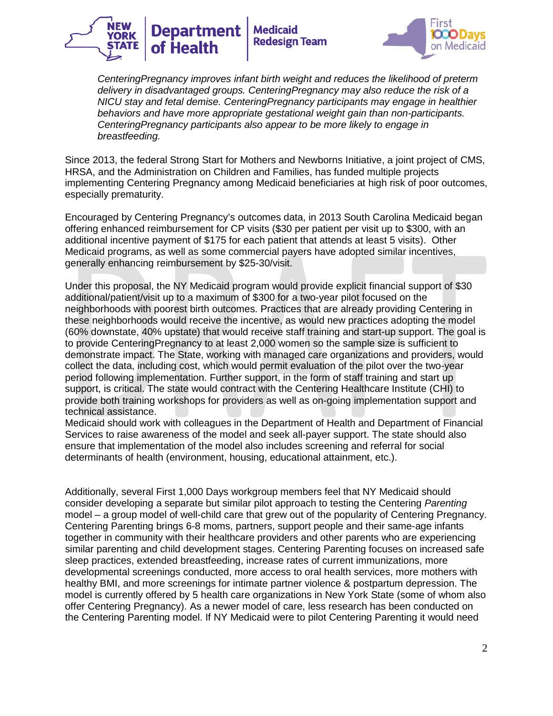



*CenteringPregnancy improves infant birth weight and reduces the likelihood of preterm delivery in disadvantaged groups. CenteringPregnancy may also reduce the risk of a NICU stay and fetal demise. CenteringPregnancy participants may engage in healthier behaviors and have more appropriate gestational weight gain than non-participants. CenteringPregnancy participants also appear to be more likely to engage in breastfeeding.*

Since 2013, the federal Strong Start for Mothers and Newborns Initiative, a joint project of CMS, HRSA, and the Administration on Children and Families, has funded multiple projects implementing Centering Pregnancy among Medicaid beneficiaries at high risk of poor outcomes, especially prematurity.

Encouraged by Centering Pregnancy's outcomes data, in 2013 South Carolina Medicaid began offering enhanced reimbursement for CP visits (\$30 per patient per visit up to \$300, with an additional incentive payment of \$175 for each patient that attends at least 5 visits). Other Medicaid programs, as well as some commercial payers have adopted similar incentives, generally enhancing reimbursement by \$25-30/visit.

Under this proposal, the NY Medicaid program would provide explicit financial support of \$30 additional/patient/visit up to a maximum of \$300 for a two-year pilot focused on the neighborhoods with poorest birth outcomes. Practices that are already providing Centering in these neighborhoods would receive the incentive, as would new practices adopting the model (60% downstate, 40% upstate) that would receive staff training and start-up support. The goal is to provide CenteringPregnancy to at least 2,000 women so the sample size is sufficient to demonstrate impact. The State, working with managed care organizations and providers, would collect the data, including cost, which would permit evaluation of the pilot over the two-year period following implementation. Further support, in the form of staff training and start up support, is critical. The state would contract with the Centering Healthcare Institute (CHI) to provide both training workshops for providers as well as on-going implementation support and technical assistance.

Medicaid should work with colleagues in the Department of Health and Department of Financial Services to raise awareness of the model and seek all-payer support. The state should also ensure that implementation of the model also includes screening and referral for social determinants of health (environment, housing, educational attainment, etc.).

Additionally, several First 1,000 Days workgroup members feel that NY Medicaid should consider developing a separate but similar pilot approach to testing the Centering *Parenting* model – a group model of well-child care that grew out of the popularity of Centering Pregnancy. Centering Parenting brings 6-8 moms, partners, support people and their same-age infants together in community with their healthcare providers and other parents who are experiencing similar parenting and child development stages. Centering Parenting focuses on increased safe sleep practices, extended breastfeeding, increase rates of current immunizations, more developmental screenings conducted, more access to oral health services, more mothers with healthy BMI, and more screenings for intimate partner violence & postpartum depression. The model is currently offered by 5 health care organizations in New York State (some of whom also offer Centering Pregnancy). As a newer model of care, less research has been conducted on the Centering Parenting model. If NY Medicaid were to pilot Centering Parenting it would need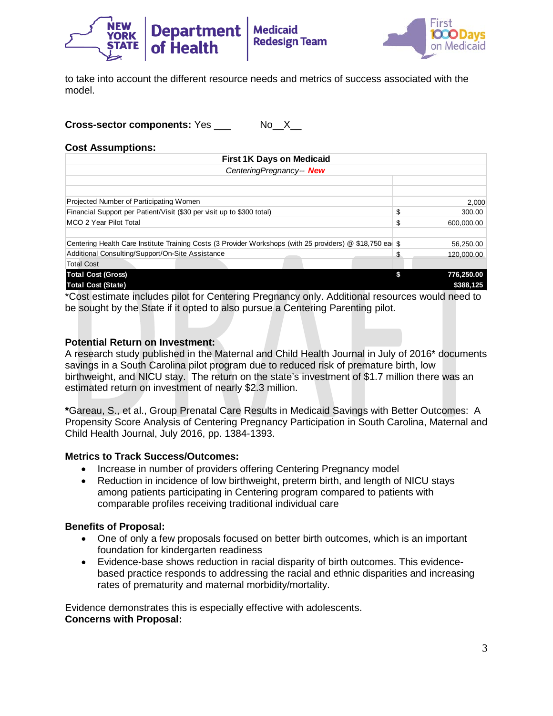

to take into account the different resource needs and metrics of success associated with the model.

**Cross-sector components:** Yes No X

#### **Cost Assumptions:**

| <b>First 1K Days on Medicaid</b>                                                                           |                  |
|------------------------------------------------------------------------------------------------------------|------------------|
| CenteringPregnancy-- New                                                                                   |                  |
|                                                                                                            |                  |
|                                                                                                            |                  |
| Projected Number of Participating Women                                                                    | 2,000            |
| Financial Support per Patient/Visit (\$30 per visit up to \$300 total)                                     | \$<br>300.00     |
| MCO 2 Year Pilot Total                                                                                     | \$<br>600.000.00 |
|                                                                                                            |                  |
| Centering Health Care Institute Training Costs (3 Provider Workshops (with 25 providers) @ \$18,750 eal \$ | 56,250.00        |
| Additional Consulting/Support/On-Site Assistance                                                           | \$<br>120,000.00 |
| <b>Total Cost</b>                                                                                          |                  |
| <b>Total Cost (Gross)</b>                                                                                  | 776,250.00       |
| <b>Total Cost (State)</b>                                                                                  | \$388,125        |

\*Cost estimate includes pilot for Centering Pregnancy only. Additional resources would need to be sought by the State if it opted to also pursue a Centering Parenting pilot.

#### **Potential Return on Investment:**

A research study published in the Maternal and Child Health Journal in July of 2016\* documents savings in a South Carolina pilot program due to reduced risk of premature birth, low birthweight, and NICU stay. The return on the state's investment of \$1.7 million there was an estimated return on investment of nearly \$2.3 million.

**\***Gareau, S., et al., Group Prenatal Care Results in Medicaid Savings with Better Outcomes: A Propensity Score Analysis of Centering Pregnancy Participation in South Carolina, Maternal and Child Health Journal, July 2016, pp. 1384-1393.

#### **Metrics to Track Success/Outcomes:**

- Increase in number of providers offering Centering Pregnancy model
- Reduction in incidence of low birthweight, preterm birth, and length of NICU stays among patients participating in Centering program compared to patients with comparable profiles receiving traditional individual care

#### **Benefits of Proposal:**

- One of only a few proposals focused on better birth outcomes, which is an important foundation for kindergarten readiness
- Evidence-base shows reduction in racial disparity of birth outcomes. This evidencebased practice responds to addressing the racial and ethnic disparities and increasing rates of prematurity and maternal morbidity/mortality.

Evidence demonstrates this is especially effective with adolescents. **Concerns with Proposal:**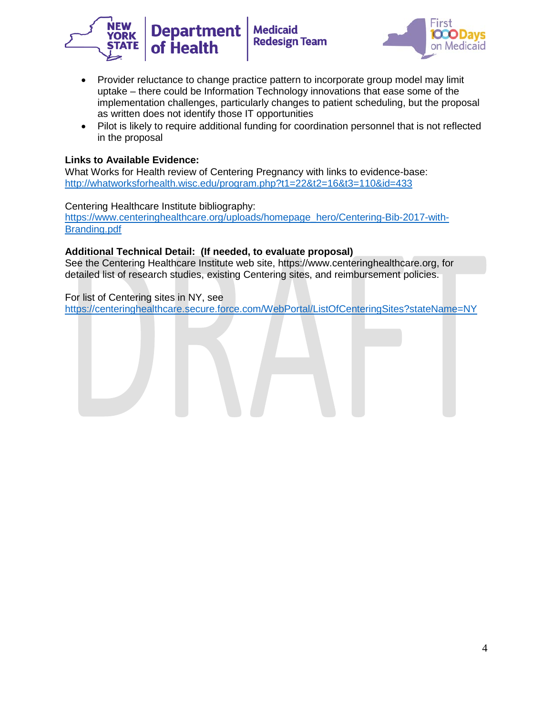



- Provider reluctance to change practice pattern to incorporate group model may limit uptake – there could be Information Technology innovations that ease some of the implementation challenges, particularly changes to patient scheduling, but the proposal as written does not identify those IT opportunities
- Pilot is likely to require additional funding for coordination personnel that is not reflected in the proposal

## **Links to Available Evidence:**

What Works for Health review of Centering Pregnancy with links to evidence-base: <http://whatworksforhealth.wisc.edu/program.php?t1=22&t2=16&t3=110&id=433>

#### Centering Healthcare Institute bibliography:

[https://www.centeringhealthcare.org/uploads/homepage\\_hero/Centering-Bib-2017-with-](https://www.centeringhealthcare.org/uploads/homepage_hero/Centering-Bib-2017-with-Branding.pdf)[Branding.pdf](https://www.centeringhealthcare.org/uploads/homepage_hero/Centering-Bib-2017-with-Branding.pdf)

#### **Additional Technical Detail: (If needed, to evaluate proposal)**

See the Centering Healthcare Institute web site, https://www.centeringhealthcare.org, for detailed list of research studies, existing Centering sites, and reimbursement policies.

For list of Centering sites in NY, see [https://centeringhealthcare.secure.force.com/WebPortal/ListOfCenteringSites?stateName=NY](https://mail.uhfnyc.org/owa/redir.aspx?C=fc9ac80d630f4372b8d7752f5397bedc&URL=https%3a%2f%2fcenteringhealthcare.secure.force.com%2fWebPortal%2fListOfCenteringSites%3fstateName%3dNY)

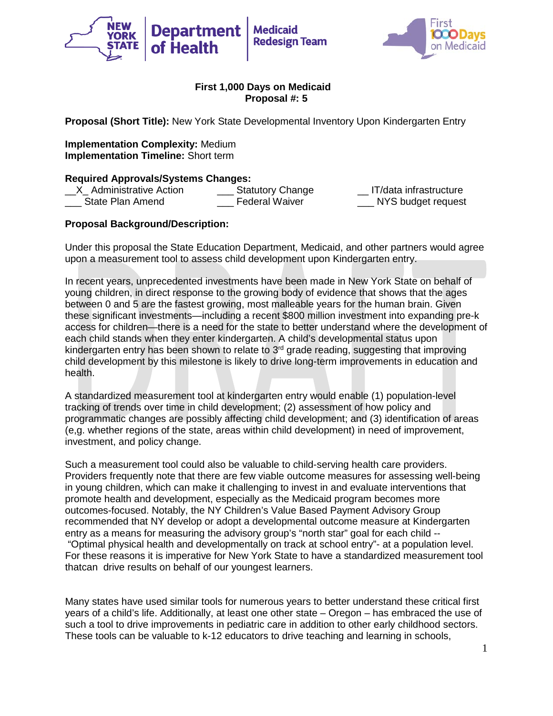



**Proposal (Short Title):** New York State Developmental Inventory Upon Kindergarten Entry

**Implementation Complexity:** Medium **Implementation Timeline:** Short term

**Required Approvals/Systems Changes:** \_\_X\_ Administrative Action \_\_\_ Statutory Change \_\_ IT/data infrastructure State Plan Amend **Example 2** Federal Waiver **NYS** budget request

# **Proposal Background/Description:**

Under this proposal the State Education Department, Medicaid, and other partners would agree upon a measurement tool to assess child development upon Kindergarten entry.

In recent years, unprecedented investments have been made in New York State on behalf of young children, in direct response to the growing body of evidence that shows that the ages between 0 and 5 are the fastest growing, most malleable years for the human brain. Given these significant investments—including a recent \$800 million investment into expanding pre-k access for children—there is a need for the state to better understand where the development of each child stands when they enter kindergarten. A child's developmental status upon kindergarten entry has been shown to relate to  $3<sup>rd</sup>$  grade reading, suggesting that improving child development by this milestone is likely to drive long-term improvements in education and health.

A standardized measurement tool at kindergarten entry would enable (1) population-level tracking of trends over time in child development; (2) assessment of how policy and programmatic changes are possibly affecting child development; and (3) identification of areas (e,g. whether regions of the state, areas within child development) in need of improvement, investment, and policy change.

Such a measurement tool could also be valuable to child-serving health care providers. Providers frequently note that there are few viable outcome measures for assessing well-being in young children, which can make it challenging to invest in and evaluate interventions that promote health and development, especially as the Medicaid program becomes more outcomes-focused. Notably, the NY Children's Value Based Payment Advisory Group recommended that NY develop or adopt a developmental outcome measure at Kindergarten entry as a means for measuring the advisory group's "north star" goal for each child -- "Optimal physical health and developmentally on track at school entry"- at a population level. For these reasons it is imperative for New York State to have a standardized measurement tool thatcan drive results on behalf of our youngest learners.

Many states have used similar tools for numerous years to better understand these critical first years of a child's life. Additionally, at least one other state – Oregon – has embraced the use of such a tool to drive improvements in pediatric care in addition to other early childhood sectors. These tools can be valuable to k-12 educators to drive teaching and learning in schools,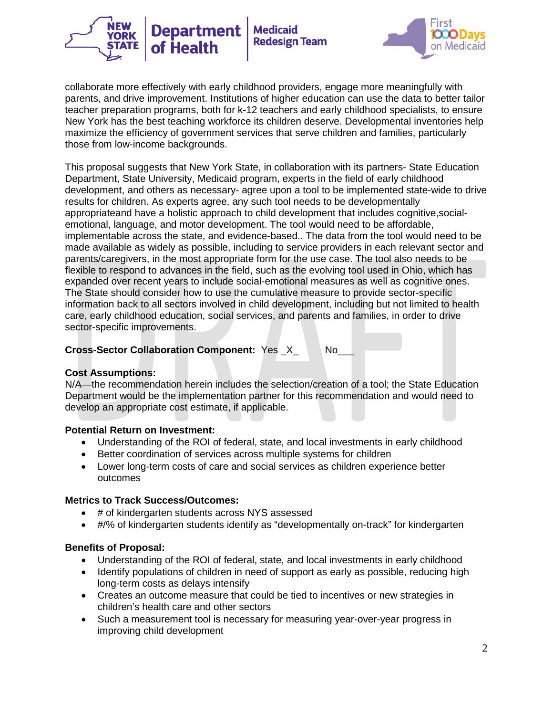



collaborate more effectively with early childhood providers, engage more meaningfully with parents, and drive improvement. Institutions of higher education can use the data to better tailor teacher preparation programs, both for k-12 teachers and early childhood specialists, to ensure New York has the best teaching workforce its children deserve. Developmental inventories help maximize the efficiency of government services that serve children and families, particularly those from low-income backgrounds.

This proposal suggests that New York State, in collaboration with its partners- State Education Department, State University, Medicaid program, experts in the field of early childhood development, and others as necessary- agree upon a tool to be implemented state-wide to drive results for children. As experts agree, any such tool needs to be developmentally appropriateand have a holistic approach to child development that includes cognitive,socialemotional, language, and motor development. The tool would need to be affordable, implementable across the state, and evidence-based.. The data from the tool would need to be made available as widely as possible, including to service providers in each relevant sector and parents/caregivers, in the most appropriate form for the use case. The tool also needs to be flexible to respond to advances in the field, such as the evolving tool used in Ohio, which has expanded over recent years to include social-emotional measures as well as cognitive ones. The State should consider how to use the cumulative measure to provide sector-specific information back to all sectors involved in child development, including but not limited to health care, early childhood education, social services, and parents and families, in order to drive sector-specific improvements.

**Cross-Sector Collaboration Component: Yes X No\_** 

# **Cost Assumptions:**

N/A—the recommendation herein includes the selection/creation of a tool; the State Education Department would be the implementation partner for this recommendation and would need to develop an appropriate cost estimate, if applicable.

# **Potential Return on Investment:**

- Understanding of the ROI of federal, state, and local investments in early childhood
- Better coordination of services across multiple systems for children
- Lower long-term costs of care and social services as children experience better outcomes

# **Metrics to Track Success/Outcomes:**

- # of kindergarten students across NYS assessed
- #/% of kindergarten students identify as "developmentally on-track" for kindergarten

# **Benefits of Proposal:**

- Understanding of the ROI of federal, state, and local investments in early childhood
- Identify populations of children in need of support as early as possible, reducing high long-term costs as delays intensify
- Creates an outcome measure that could be tied to incentives or new strategies in children's health care and other sectors
- Such a measurement tool is necessary for measuring year-over-year progress in improving child development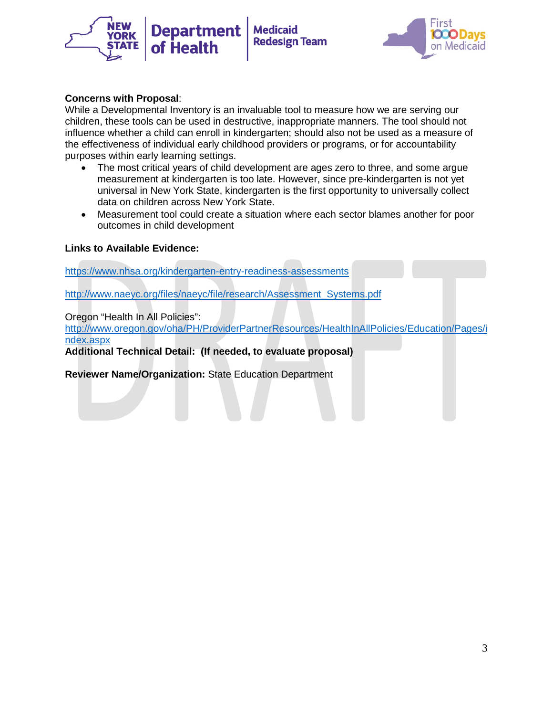



#### **Concerns with Proposal**:

While a Developmental Inventory is an invaluable tool to measure how we are serving our children, these tools can be used in destructive, inappropriate manners. The tool should not influence whether a child can enroll in kindergarten; should also not be used as a measure of the effectiveness of individual early childhood providers or programs, or for accountability purposes within early learning settings.

- The most critical years of child development are ages zero to three, and some argue measurement at kindergarten is too late. However, since pre-kindergarten is not yet universal in New York State, kindergarten is the first opportunity to universally collect data on children across New York State.
- Measurement tool could create a situation where each sector blames another for poor outcomes in child development

#### **Links to Available Evidence:**

<https://www.nhsa.org/kindergarten-entry-readiness-assessments>

[http://www.naeyc.org/files/naeyc/file/research/Assessment\\_Systems.pdf](http://www.naeyc.org/files/naeyc/file/research/Assessment_Systems.pdf)

Oregon "Health In All Policies":

[http://www.oregon.gov/oha/PH/ProviderPartnerResources/HealthInAllPolicies/Education/Pages/i](http://www.oregon.gov/oha/PH/ProviderPartnerResources/HealthInAllPolicies/Education/Pages/index.aspx) [ndex.aspx](http://www.oregon.gov/oha/PH/ProviderPartnerResources/HealthInAllPolicies/Education/Pages/index.aspx)

**Additional Technical Detail: (If needed, to evaluate proposal)**

**Reviewer Name/Organization:** State Education Department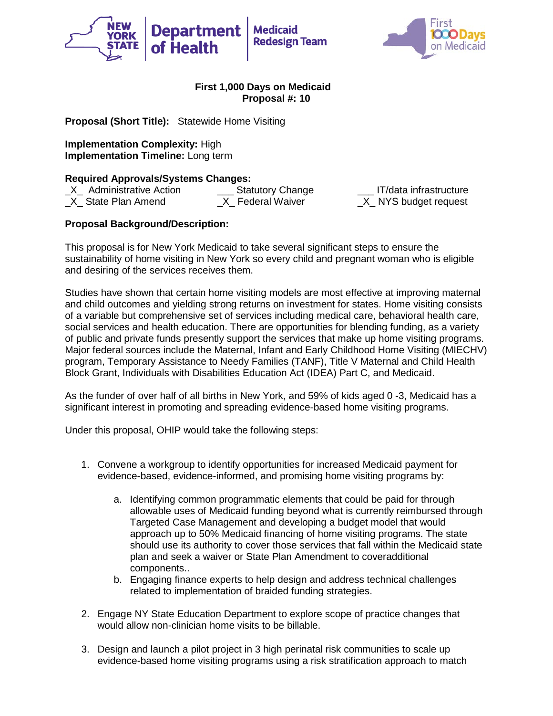



**Proposal (Short Title):** Statewide Home Visiting

**Implementation Complexity:** High **Implementation Timeline:** Long term

**Required Approvals/Systems Changes:**<br>X Administrative Action **Statutory Change** \_X\_ Administrative Action \_\_\_ Statutory Change \_\_\_ IT/data infrastructure X State Plan Amend X Federal Waiver X NYS budget request

# **Proposal Background/Description:**

This proposal is for New York Medicaid to take several significant steps to ensure the sustainability of home visiting in New York so every child and pregnant woman who is eligible and desiring of the services receives them.

Studies have shown that certain home visiting models are most effective at improving maternal and child outcomes and yielding strong returns on investment for states. Home visiting consists of a variable but comprehensive set of services including medical care, behavioral health care, social services and health education. There are opportunities for blending funding, as a variety of public and private funds presently support the services that make up home visiting programs. Major federal sources include the Maternal, Infant and Early Childhood Home Visiting (MIECHV) program, Temporary Assistance to Needy Families (TANF), Title V Maternal and Child Health Block Grant, Individuals with Disabilities Education Act (IDEA) Part C, and Medicaid.

As the funder of over half of all births in New York, and 59% of kids aged 0 -3, Medicaid has a significant interest in promoting and spreading evidence-based home visiting programs.

Under this proposal, OHIP would take the following steps:

- 1. Convene a workgroup to identify opportunities for increased Medicaid payment for evidence-based, evidence-informed, and promising home visiting programs by:
	- a. Identifying common programmatic elements that could be paid for through allowable uses of Medicaid funding beyond what is currently reimbursed through Targeted Case Management and developing a budget model that would approach up to 50% Medicaid financing of home visiting programs. The state should use its authority to cover those services that fall within the Medicaid state plan and seek a waiver or State Plan Amendment to coveradditional components..
	- b. Engaging finance experts to help design and address technical challenges related to implementation of braided funding strategies.
- 2. Engage NY State Education Department to explore scope of practice changes that would allow non-clinician home visits to be billable.
- 3. Design and launch a pilot project in 3 high perinatal risk communities to scale up evidence-based home visiting programs using a risk stratification approach to match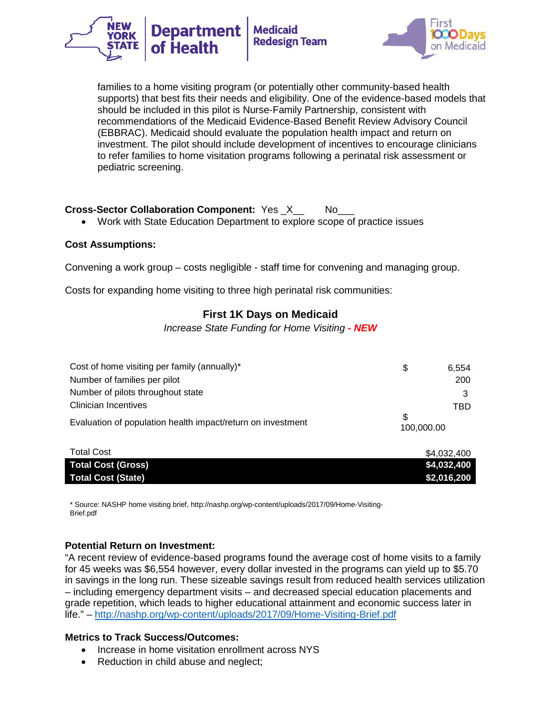



families to a home visiting program (or potentially other community-based health supports) that best fits their needs and eligibility. One of the evidence-based models that should be included in this pilot is Nurse-Family Partnership, consistent with recommendations of the Medicaid Evidence-Based Benefit Review Advisory Council (EBBRAC). Medicaid should evaluate the population health impact and return on investment. The pilot should include development of incentives to encourage clinicians to refer families to home visitation programs following a perinatal risk assessment or pediatric screening.

# **Cross-Sector Collaboration Component:** Yes X\_\_\_\_ No

• Work with State Education Department to explore scope of practice issues

#### **Cost Assumptions:**

Convening a work group – costs negligible - staff time for convening and managing group.

Costs for expanding home visiting to three high perinatal risk communities:

# **First 1K Days on Medicaid**

*Increase State Funding for Home Visiting - NEW* 

| Cost of home visiting per family (annually)*                | \$.               | 6.554 |
|-------------------------------------------------------------|-------------------|-------|
| Number of families per pilot                                |                   | 200   |
| Number of pilots throughout state                           |                   |       |
| <b>Clinician Incentives</b>                                 |                   | TRD   |
| Evaluation of population health impact/return on investment | \$.<br>100,000.00 |       |

| <b>Total Cost</b>         | \$4,032,400 |
|---------------------------|-------------|
| <b>Total Cost (Gross)</b> | \$4,032,400 |
| <b>Total Cost (State)</b> | \$2,016,200 |

\* Source: NASHP home visiting brief, http://nashp.org/wp-content/uploads/2017/09/Home-Visiting-Brief.pdf

## **Potential Return on Investment:**

"A recent review of evidence-based programs found the average cost of home visits to a family for 45 weeks was \$6,554 however, every dollar invested in the programs can yield up to \$5.70 in savings in the long run. These sizeable savings result from reduced health services utilization – including emergency department visits – and decreased special education placements and grade repetition, which leads to higher educational attainment and economic success later in life." – <http://nashp.org/wp-content/uploads/2017/09/Home-Visiting-Brief.pdf>

## **Metrics to Track Success/Outcomes:**

- Increase in home visitation enrollment across NYS
- Reduction in child abuse and neglect;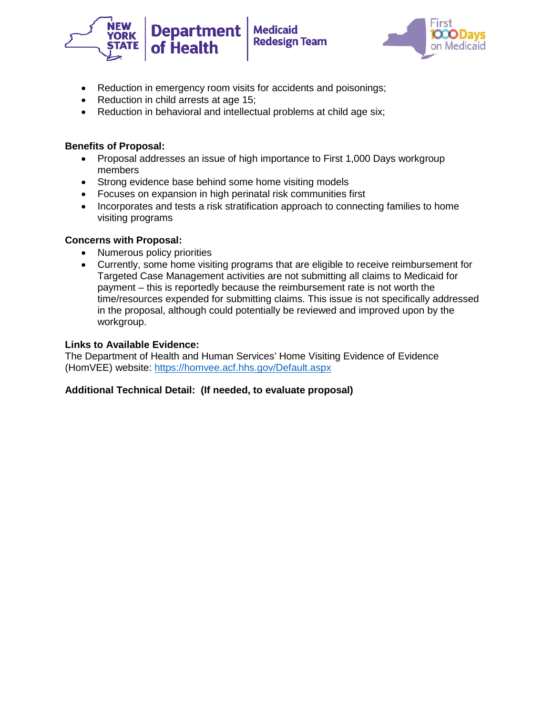



- Reduction in emergency room visits for accidents and poisonings;
- Reduction in child arrests at age 15;
- Reduction in behavioral and intellectual problems at child age six;

# **Benefits of Proposal:**

- Proposal addresses an issue of high importance to First 1,000 Days workgroup members
- Strong evidence base behind some home visiting models
- Focuses on expansion in high perinatal risk communities first
- Incorporates and tests a risk stratification approach to connecting families to home visiting programs

## **Concerns with Proposal:**

- Numerous policy priorities
- Currently, some home visiting programs that are eligible to receive reimbursement for Targeted Case Management activities are not submitting all claims to Medicaid for payment – this is reportedly because the reimbursement rate is not worth the time/resources expended for submitting claims. This issue is not specifically addressed in the proposal, although could potentially be reviewed and improved upon by the workgroup.

## **Links to Available Evidence:**

The Department of Health and Human Services' Home Visiting Evidence of Evidence (HomVEE) website:<https://homvee.acf.hhs.gov/Default.aspx>

# **Additional Technical Detail: (If needed, to evaluate proposal)**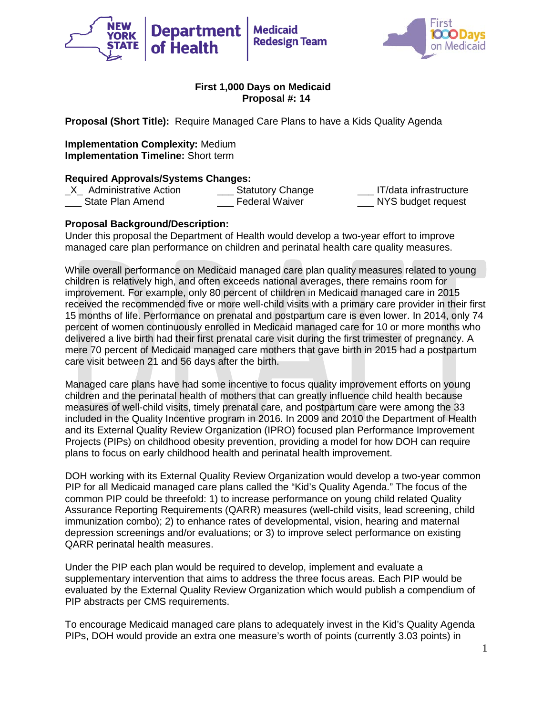



**Proposal (Short Title):** Require Managed Care Plans to have a Kids Quality Agenda

**Implementation Complexity:** Medium **Implementation Timeline:** Short term

**Required Approvals/Systems Changes:**<br>X Administrative Action **Statutory Change** \_X\_ Administrative Action \_\_\_ Statutory Change \_\_\_ IT/data infrastructure State Plan Amend **Example 2** Federal Waiver **NYS** budget request

## **Proposal Background/Description:**

Under this proposal the Department of Health would develop a two-year effort to improve managed care plan performance on children and perinatal health care quality measures.

While overall performance on Medicaid managed care plan quality measures related to young children is relatively high, and often exceeds national averages, there remains room for improvement. For example, only 80 percent of children in Medicaid managed care in 2015 received the recommended five or more well-child visits with a primary care provider in their first 15 months of life. Performance on prenatal and postpartum care is even lower. In 2014, only 74 percent of women continuously enrolled in Medicaid managed care for 10 or more months who delivered a live birth had their first prenatal care visit during the first trimester of pregnancy. A mere 70 percent of Medicaid managed care mothers that gave birth in 2015 had a postpartum care visit between 21 and 56 days after the birth.

Managed care plans have had some incentive to focus quality improvement efforts on young children and the perinatal health of mothers that can greatly influence child health because measures of well-child visits, timely prenatal care, and postpartum care were among the 33 included in the Quality Incentive program in 2016. In 2009 and 2010 the Department of Health and its External Quality Review Organization (IPRO) focused plan Performance Improvement Projects (PIPs) on childhood obesity prevention, providing a model for how DOH can require plans to focus on early childhood health and perinatal health improvement.

DOH working with its External Quality Review Organization would develop a two-year common PIP for all Medicaid managed care plans called the "Kid's Quality Agenda." The focus of the common PIP could be threefold: 1) to increase performance on young child related Quality Assurance Reporting Requirements (QARR) measures (well-child visits, lead screening, child immunization combo); 2) to enhance rates of developmental, vision, hearing and maternal depression screenings and/or evaluations; or 3) to improve select performance on existing QARR perinatal health measures.

Under the PIP each plan would be required to develop, implement and evaluate a supplementary intervention that aims to address the three focus areas. Each PIP would be evaluated by the External Quality Review Organization which would publish a compendium of PIP abstracts per CMS requirements.

To encourage Medicaid managed care plans to adequately invest in the Kid's Quality Agenda PIPs, DOH would provide an extra one measure's worth of points (currently 3.03 points) in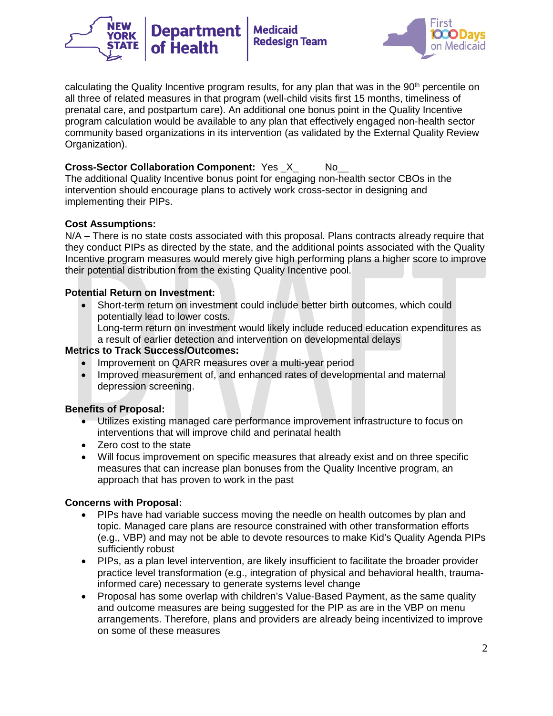



calculating the Quality Incentive program results, for any plan that was in the 90<sup>th</sup> percentile on all three of related measures in that program (well-child visits first 15 months, timeliness of prenatal care, and postpartum care). An additional one bonus point in the Quality Incentive program calculation would be available to any plan that effectively engaged non-health sector community based organizations in its intervention (as validated by the External Quality Review Organization).

# **Cross-Sector Collaboration Component:** Yes X No

The additional Quality Incentive bonus point for engaging non-health sector CBOs in the intervention should encourage plans to actively work cross-sector in designing and implementing their PIPs.

## **Cost Assumptions:**

N/A – There is no state costs associated with this proposal. Plans contracts already require that they conduct PIPs as directed by the state, and the additional points associated with the Quality Incentive program measures would merely give high performing plans a higher score to improve their potential distribution from the existing Quality Incentive pool.

## **Potential Return on Investment:**

- Short-term return on investment could include better birth outcomes, which could potentially lead to lower costs.
	- Long-term return on investment would likely include reduced education expenditures as a result of earlier detection and intervention on developmental delays

## **Metrics to Track Success/Outcomes:**

- Improvement on QARR measures over a multi-year period
- Improved measurement of, and enhanced rates of developmental and maternal depression screening.

## **Benefits of Proposal:**

- Utilizes existing managed care performance improvement infrastructure to focus on interventions that will improve child and perinatal health
- Zero cost to the state
- Will focus improvement on specific measures that already exist and on three specific measures that can increase plan bonuses from the Quality Incentive program, an approach that has proven to work in the past

## **Concerns with Proposal:**

- PIPs have had variable success moving the needle on health outcomes by plan and topic. Managed care plans are resource constrained with other transformation efforts (e.g., VBP) and may not be able to devote resources to make Kid's Quality Agenda PIPs sufficiently robust
- PIPs, as a plan level intervention, are likely insufficient to facilitate the broader provider practice level transformation (e.g., integration of physical and behavioral health, traumainformed care) necessary to generate systems level change
- Proposal has some overlap with children's Value-Based Payment, as the same quality and outcome measures are being suggested for the PIP as are in the VBP on menu arrangements. Therefore, plans and providers are already being incentivized to improve on some of these measures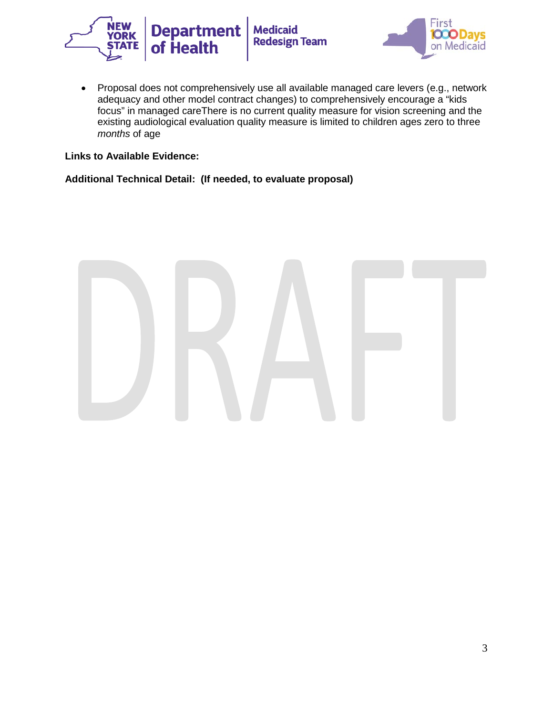



• Proposal does not comprehensively use all available managed care levers (e.g., network adequacy and other model contract changes) to comprehensively encourage a "kids focus" in managed careThere is no current quality measure for vision screening and the existing audiological evaluation quality measure is limited to children ages zero to three *months* of age

## **Links to Available Evidence:**

#### **Additional Technical Detail: (If needed, to evaluate proposal)**

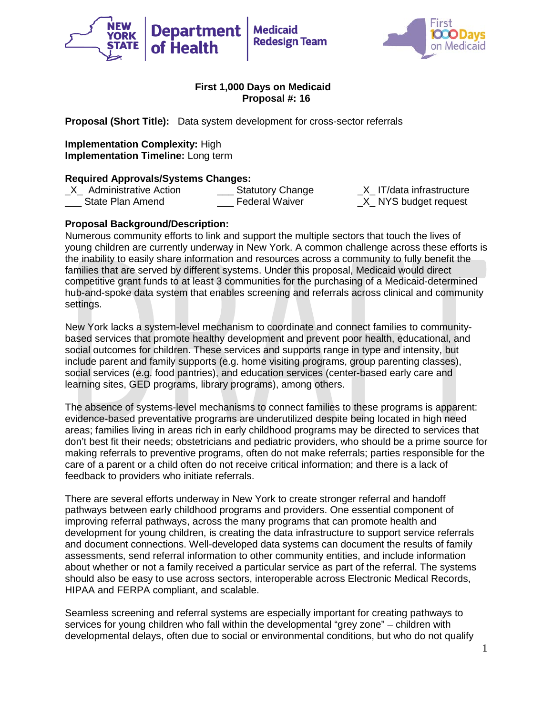



**Proposal (Short Title):** Data system development for cross-sector referrals

**Implementation Complexity:** High **Implementation Timeline:** Long term

**Required Approvals/Systems Changes:**<br>X Administrative Action **Statutory Change** \_X\_ Administrative Action \_\_\_ Statutory Change \_X\_ IT/data infrastructure State Plan Amend **Example Property** Federal Waiver **Example 2** NYS budget request

# **Proposal Background/Description:**

Numerous community efforts to link and support the multiple sectors that touch the lives of young children are currently underway in New York. A common challenge across these efforts is the inability to easily share information and resources across a community to fully benefit the families that are served by different systems. Under this proposal, Medicaid would direct competitive grant funds to at least 3 communities for the purchasing of a Medicaid-determined hub-and-spoke data system that enables screening and referrals across clinical and community settings.

New York lacks a system-level mechanism to coordinate and connect families to communitybased services that promote healthy development and prevent poor health, educational, and social outcomes for children. These services and supports range in type and intensity, but include parent and family supports (e.g. home visiting programs, group parenting classes), social services (e.g. food pantries), and education services (center-based early care and learning sites, GED programs, library programs), among others.

The absence of systems-level mechanisms to connect families to these programs is apparent: evidence-based preventative programs are underutilized despite being located in high need areas; families living in areas rich in early childhood programs may be directed to services that don't best fit their needs; obstetricians and pediatric providers, who should be a prime source for making referrals to preventive programs, often do not make referrals; parties responsible for the care of a parent or a child often do not receive critical information; and there is a lack of feedback to providers who initiate referrals.

There are several efforts underway in New York to create stronger referral and handoff pathways between early childhood programs and providers. One essential component of improving referral pathways, across the many programs that can promote health and development for young children, is creating the data infrastructure to support service referrals and document connections. Well-developed data systems can document the results of family assessments, send referral information to other community entities, and include information about whether or not a family received a particular service as part of the referral. The systems should also be easy to use across sectors, interoperable across Electronic Medical Records, HIPAA and FERPA compliant, and scalable.

Seamless screening and referral systems are especially important for creating pathways to services for young children who fall within the developmental "grey zone" – children with developmental delays, often due to social or environmental conditions, but who do not qualify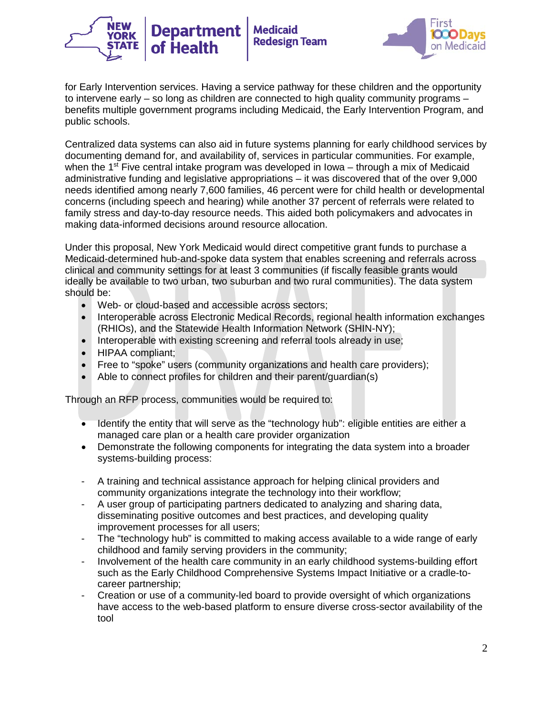



for Early Intervention services. Having a service pathway for these children and the opportunity to intervene early – so long as children are connected to high quality community programs – benefits multiple government programs including Medicaid, the Early Intervention Program, and public schools.

Centralized data systems can also aid in future systems planning for early childhood services by documenting demand for, and availability of, services in particular communities. For example, when the 1<sup>st</sup> Five central intake program was developed in Iowa – through a mix of Medicaid administrative funding and legislative appropriations – it was discovered that of the over 9,000 needs identified among nearly 7,600 families, 46 percent were for child health or developmental concerns (including speech and hearing) while another 37 percent of referrals were related to family stress and day-to-day resource needs. This aided both policymakers and advocates in making data-informed decisions around resource allocation.

Under this proposal, New York Medicaid would direct competitive grant funds to purchase a Medicaid-determined hub-and-spoke data system that enables screening and referrals across clinical and community settings for at least 3 communities (if fiscally feasible grants would ideally be available to two urban, two suburban and two rural communities). The data system should be:

- Web- or cloud-based and accessible across sectors;
- Interoperable across Electronic Medical Records, regional health information exchanges (RHIOs), and the Statewide Health Information Network (SHIN-NY);
- Interoperable with existing screening and referral tools already in use;
- HIPAA compliant;
- Free to "spoke" users (community organizations and health care providers);
- Able to connect profiles for children and their parent/guardian(s)

Through an RFP process, communities would be required to:

- Identify the entity that will serve as the "technology hub": eligible entities are either a managed care plan or a health care provider organization
- Demonstrate the following components for integrating the data system into a broader systems-building process:
- A training and technical assistance approach for helping clinical providers and community organizations integrate the technology into their workflow;
- A user group of participating partners dedicated to analyzing and sharing data, disseminating positive outcomes and best practices, and developing quality improvement processes for all users;
- The "technology hub" is committed to making access available to a wide range of early childhood and family serving providers in the community;
- Involvement of the health care community in an early childhood systems-building effort such as the Early Childhood Comprehensive Systems Impact Initiative or a cradle-tocareer partnership;
- Creation or use of a community-led board to provide oversight of which organizations have access to the web-based platform to ensure diverse cross-sector availability of the tool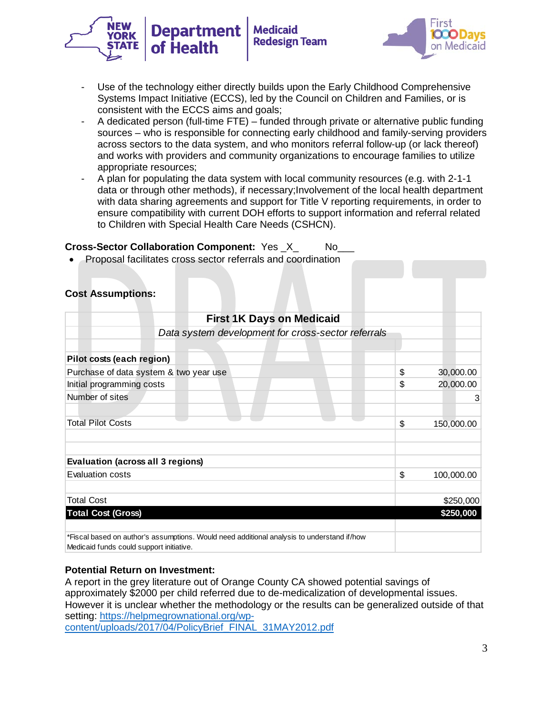



- Use of the technology either directly builds upon the Early Childhood Comprehensive Systems Impact Initiative (ECCS), led by the Council on Children and Families, or is consistent with the ECCS aims and goals;
- A dedicated person (full-time FTE) funded through private or alternative public funding sources – who is responsible for connecting early childhood and family-serving providers across sectors to the data system, and who monitors referral follow-up (or lack thereof) and works with providers and community organizations to encourage families to utilize appropriate resources;
- A plan for populating the data system with local community resources (e.g. with 2-1-1 data or through other methods), if necessary;Involvement of the local health department with data sharing agreements and support for Title V reporting requirements, in order to ensure compatibility with current DOH efforts to support information and referral related to Children with Special Health Care Needs (CSHCN).

## **Cross-Sector Collaboration Component:** Yes \_X\_ No\_\_\_

• Proposal facilitates cross sector referrals and coordination

## **Cost Assumptions:**

| <b>First 1K Days on Medicaid</b>                                                           |                  |
|--------------------------------------------------------------------------------------------|------------------|
| Data system development for cross-sector referrals                                         |                  |
|                                                                                            |                  |
| Pilot costs (each region)                                                                  |                  |
| Purchase of data system & two year use                                                     | \$<br>30,000.00  |
| Initial programming costs                                                                  | \$<br>20,000.00  |
| Number of sites                                                                            | 3                |
|                                                                                            |                  |
| <b>Total Pilot Costs</b>                                                                   | \$<br>150,000.00 |
|                                                                                            |                  |
|                                                                                            |                  |
| <b>Evaluation (across all 3 regions)</b>                                                   |                  |
| Evaluation costs                                                                           | \$<br>100,000.00 |
|                                                                                            |                  |
| <b>Total Cost</b>                                                                          | \$250,000        |
| <b>Total Cost (Gross)</b>                                                                  | \$250,000        |
|                                                                                            |                  |
| *Fiscal based on author's assumptions. Would need additional analysis to understand if/how |                  |
| Medicaid funds could support initiative.                                                   |                  |

## **Potential Return on Investment:**

A report in the grey literature out of Orange County CA showed potential savings of approximately \$2000 per child referred due to de-medicalization of developmental issues. However it is unclear whether the methodology or the results can be generalized outside of that setting: [https://helpmegrownational.org/wp](https://helpmegrownational.org/wp-content/uploads/2017/04/PolicyBrief_FINAL_31MAY2012.pdf)[content/uploads/2017/04/PolicyBrief\\_FINAL\\_31MAY2012.pdf](https://helpmegrownational.org/wp-content/uploads/2017/04/PolicyBrief_FINAL_31MAY2012.pdf)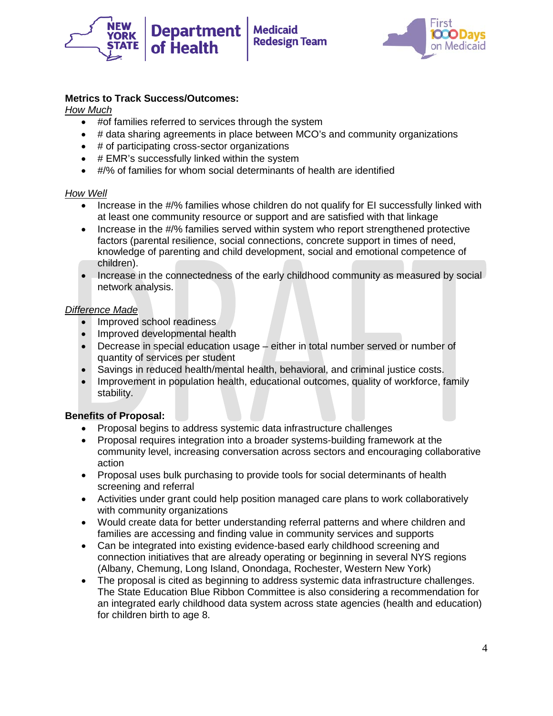



# **Metrics to Track Success/Outcomes:**

*How Much*

- #of families referred to services through the system
- # data sharing agreements in place between MCO's and community organizations
- # of participating cross-sector organizations

of Health

- # EMR's successfully linked within the system
- #/% of families for whom social determinants of health are identified

## *How Well*

- Increase in the #/% families whose children do not qualify for EI successfully linked with at least one community resource or support and are satisfied with that linkage
- Increase in the #/% families served within system who report strengthened protective factors (parental resilience, social connections, concrete support in times of need, knowledge of parenting and child development, social and emotional competence of children).
- Increase in the connectedness of the early childhood community as measured by social network analysis.

## *Difference Made*

- Improved school readiness
- Improved developmental health
- Decrease in special education usage either in total number served or number of quantity of services per student
- Savings in reduced health/mental health, behavioral, and criminal justice costs.
- Improvement in population health, educational outcomes, quality of workforce, family stability.

## **Benefits of Proposal:**

- Proposal begins to address systemic data infrastructure challenges
- Proposal requires integration into a broader systems-building framework at the community level, increasing conversation across sectors and encouraging collaborative action
- Proposal uses bulk purchasing to provide tools for social determinants of health screening and referral
- Activities under grant could help position managed care plans to work collaboratively with community organizations
- Would create data for better understanding referral patterns and where children and families are accessing and finding value in community services and supports
- Can be integrated into existing evidence-based early childhood screening and connection initiatives that are already operating or beginning in several NYS regions (Albany, Chemung, Long Island, Onondaga, Rochester, Western New York)
- The proposal is cited as beginning to address systemic data infrastructure challenges. The State Education Blue Ribbon Committee is also considering a recommendation for an integrated early childhood data system across state agencies (health and education) for children birth to age 8.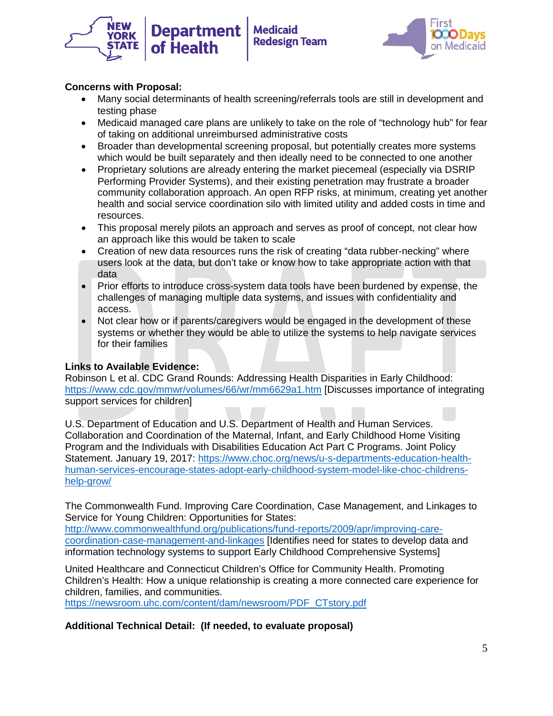



# **Concerns with Proposal:**

- Many social determinants of health screening/referrals tools are still in development and testing phase
- Medicaid managed care plans are unlikely to take on the role of "technology hub" for fear of taking on additional unreimbursed administrative costs
- Broader than developmental screening proposal, but potentially creates more systems which would be built separately and then ideally need to be connected to one another
- Proprietary solutions are already entering the market piecemeal (especially via DSRIP Performing Provider Systems), and their existing penetration may frustrate a broader community collaboration approach. An open RFP risks, at minimum, creating yet another health and social service coordination silo with limited utility and added costs in time and resources.
- This proposal merely pilots an approach and serves as proof of concept, not clear how an approach like this would be taken to scale
- Creation of new data resources runs the risk of creating "data rubber-necking" where users look at the data, but don't take or know how to take appropriate action with that data
- Prior efforts to introduce cross-system data tools have been burdened by expense, the challenges of managing multiple data systems, and issues with confidentiality and access.
- Not clear how or if parents/caregivers would be engaged in the development of these systems or whether they would be able to utilize the systems to help navigate services for their families

## **Links to Available Evidence:**

Robinson L et al. CDC Grand Rounds: Addressing Health Disparities in Early Childhood: <https://www.cdc.gov/mmwr/volumes/66/wr/mm6629a1.htm> [Discusses importance of integrating support services for children]

U.S. Department of Education and U.S. Department of Health and Human Services. Collaboration and Coordination of the Maternal, Infant, and Early Childhood Home Visiting Program and the Individuals with Disabilities Education Act Part C Programs. Joint Policy Statement. January 19, 2017: [https://www.choc.org/news/u-s-departments-education-health](https://www.choc.org/news/u-s-departments-education-health-human-services-encourage-states-adopt-early-childhood-system-model-like-choc-childrens-help-grow/)[human-services-encourage-states-adopt-early-childhood-system-model-like-choc-childrens](https://www.choc.org/news/u-s-departments-education-health-human-services-encourage-states-adopt-early-childhood-system-model-like-choc-childrens-help-grow/)[help-grow/](https://www.choc.org/news/u-s-departments-education-health-human-services-encourage-states-adopt-early-childhood-system-model-like-choc-childrens-help-grow/)

The Commonwealth Fund. Improving Care Coordination, Case Management, and Linkages to Service for Young Children: Opportunities for States:

[http://www.commonwealthfund.org/publications/fund-reports/2009/apr/improving-care](http://www.commonwealthfund.org/publications/fund-reports/2009/apr/improving-care-coordination-case-management-and-linkages)[coordination-case-management-and-linkages](http://www.commonwealthfund.org/publications/fund-reports/2009/apr/improving-care-coordination-case-management-and-linkages) [Identifies need for states to develop data and information technology systems to support Early Childhood Comprehensive Systems]

United Healthcare and Connecticut Children's Office for Community Health. Promoting Children's Health: How a unique relationship is creating a more connected care experience for children, families, and communities.

[https://newsroom.uhc.com/content/dam/newsroom/PDF\\_CTstory.pdf](https://newsroom.uhc.com/content/dam/newsroom/PDF_CTstory.pdf)

## **Additional Technical Detail: (If needed, to evaluate proposal)**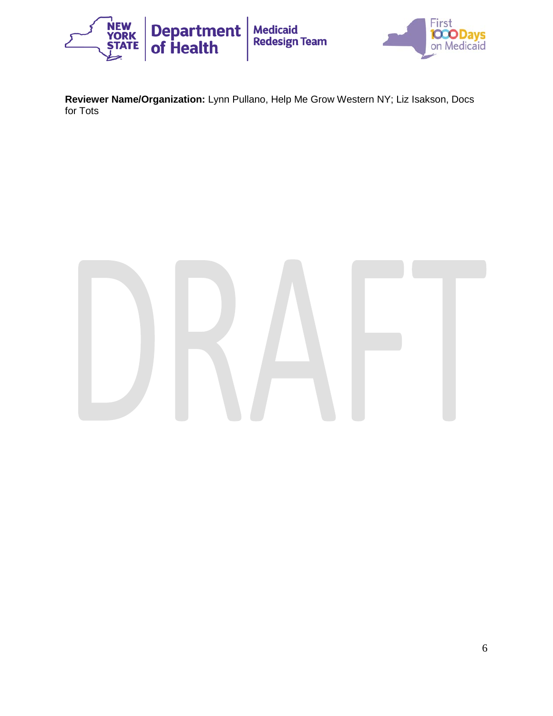

**Reviewer Name/Organization:** Lynn Pullano, Help Me Grow Western NY; Liz Isakson, Docs for Tots

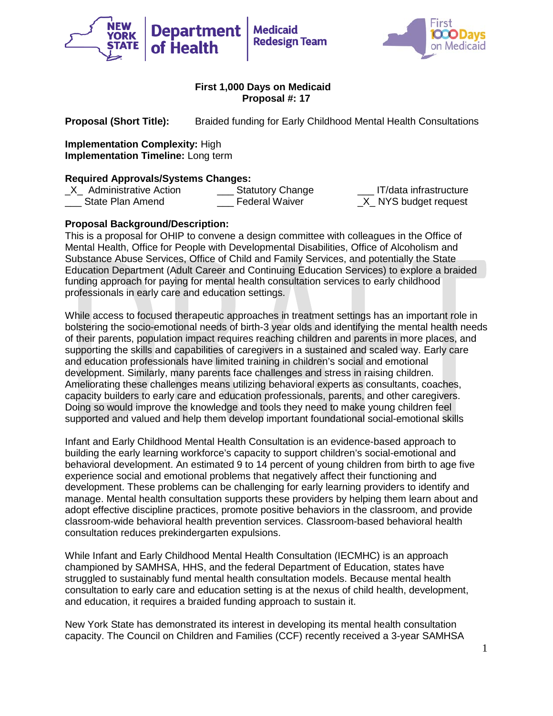



**Proposal (Short Title):** Braided funding for Early Childhood Mental Health Consultations

**Implementation Complexity:** High **Implementation Timeline:** Long term

**Required Approvals/Systems Changes:**<br>X Administrative Action **Statutory Change** \_X\_ Administrative Action \_\_\_ Statutory Change \_\_\_ IT/data infrastructure State Plan Amend **Example 2** Federal Waiver **Example 2 NYS** budget request

# **Proposal Background/Description:**

This is a proposal for OHIP to convene a design committee with colleagues in the Office of Mental Health, Office for People with Developmental Disabilities, Office of Alcoholism and Substance Abuse Services, Office of Child and Family Services, and potentially the State Education Department (Adult Career and Continuing Education Services) to explore a braided funding approach for paying for mental health consultation services to early childhood professionals in early care and education settings.

While access to focused therapeutic approaches in treatment settings has an important role in bolstering the socio-emotional needs of birth-3 year olds and identifying the mental health needs of their parents, population impact requires reaching children and parents in more places, and supporting the skills and capabilities of caregivers in a sustained and scaled way. Early care and education professionals have limited training in children's social and emotional development. Similarly, many parents face challenges and stress in raising children. Ameliorating these challenges means utilizing behavioral experts as consultants, coaches, capacity builders to early care and education professionals, parents, and other caregivers. Doing so would improve the knowledge and tools they need to make young children feel supported and valued and help them develop important foundational social-emotional skills

Infant and Early Childhood Mental Health Consultation is an evidence-based approach to building the early learning workforce's capacity to support children's social-emotional and behavioral development. An estimated 9 to 14 percent of young children from birth to age five experience social and emotional problems that negatively affect their functioning and development. These problems can be challenging for early learning providers to identify and manage. Mental health consultation supports these providers by helping them learn about and adopt effective discipline practices, promote positive behaviors in the classroom, and provide classroom-wide behavioral health prevention services. Classroom-based behavioral health consultation reduces prekindergarten expulsions.

While Infant and Early Childhood Mental Health Consultation (IECMHC) is an approach championed by SAMHSA, HHS, and the federal Department of Education, states have struggled to sustainably fund mental health consultation models. Because mental health consultation to early care and education setting is at the nexus of child health, development, and education, it requires a braided funding approach to sustain it.

New York State has demonstrated its interest in developing its mental health consultation capacity. The Council on Children and Families (CCF) recently received a 3-year SAMHSA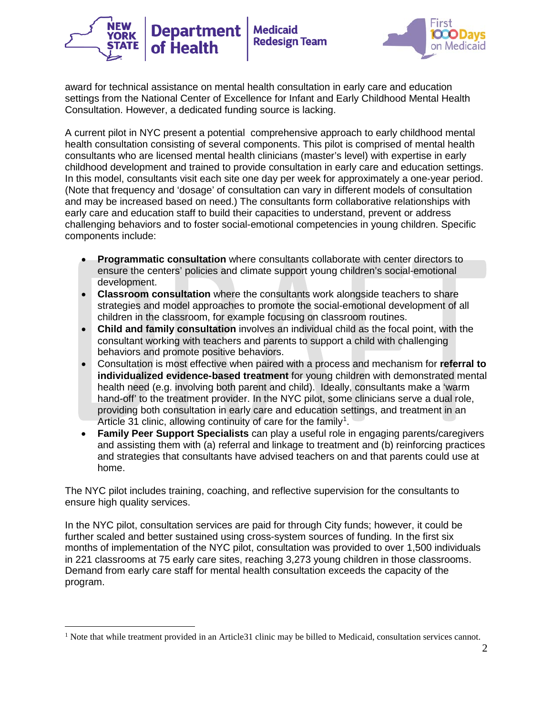



award for technical assistance on mental health consultation in early care and education settings from the National Center of Excellence for Infant and Early Childhood Mental Health Consultation. However, a dedicated funding source is lacking.

A current pilot in NYC present a potential comprehensive approach to early childhood mental health consultation consisting of several components. This pilot is comprised of mental health consultants who are licensed mental health clinicians (master's level) with expertise in early childhood development and trained to provide consultation in early care and education settings. In this model, consultants visit each site one day per week for approximately a one-year period. (Note that frequency and 'dosage' of consultation can vary in different models of consultation and may be increased based on need.) The consultants form collaborative relationships with early care and education staff to build their capacities to understand, prevent or address challenging behaviors and to foster social-emotional competencies in young children. Specific components include:

- **Programmatic consultation** where consultants collaborate with center directors to ensure the centers' policies and climate support young children's social-emotional development.
- **Classroom consultation** where the consultants work alongside teachers to share strategies and model approaches to promote the social-emotional development of all children in the classroom, for example focusing on classroom routines.
- **Child and family consultation** involves an individual child as the focal point, with the consultant working with teachers and parents to support a child with challenging behaviors and promote positive behaviors.
- Consultation is most effective when paired with a process and mechanism for **referral to individualized evidence-based treatment** for young children with demonstrated mental health need (e.g. involving both parent and child). Ideally, consultants make a 'warm hand-off' to the treatment provider. In the NYC pilot, some clinicians serve a dual role, providing both consultation in early care and education settings, and treatment in an Article 3[1](#page-27-0) clinic, allowing continuity of care for the family<sup>1</sup>.
- **Family Peer Support Specialists** can play a useful role in engaging parents/caregivers and assisting them with (a) referral and linkage to treatment and (b) reinforcing practices and strategies that consultants have advised teachers on and that parents could use at home.

The NYC pilot includes training, coaching, and reflective supervision for the consultants to ensure high quality services.

In the NYC pilot, consultation services are paid for through City funds; however, it could be further scaled and better sustained using cross-system sources of funding*.* In the first six months of implementation of the NYC pilot, consultation was provided to over 1,500 individuals in 221 classrooms at 75 early care sites, reaching 3,273 young children in those classrooms. Demand from early care staff for mental health consultation exceeds the capacity of the program.

<span id="page-27-0"></span><sup>&</sup>lt;sup>1</sup> Note that while treatment provided in an Article31 clinic may be billed to Medicaid, consultation services cannot.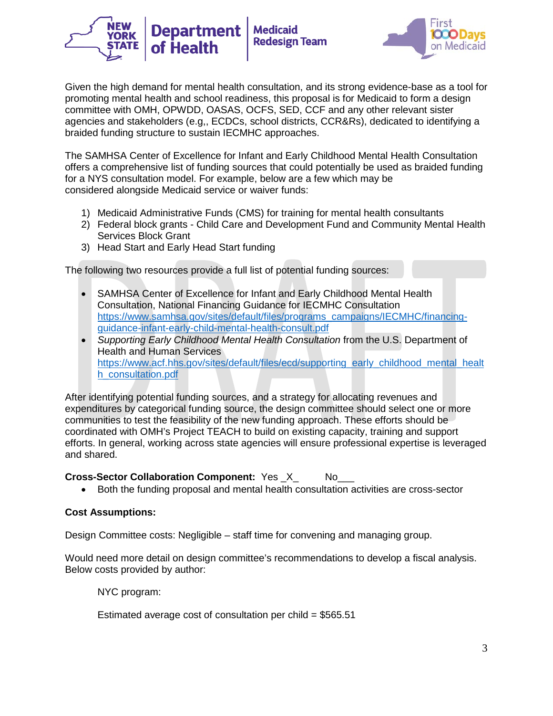

**Medicaid** 

**Redesign Team** 

The SAMHSA Center of Excellence for Infant and Early Childhood Mental Health Consultation offers a comprehensive list of funding sources that could potentially be used as braided funding for a NYS consultation model. For example, below are a few which may be considered alongside Medicaid service or waiver funds:

- 1) Medicaid Administrative Funds (CMS) for training for mental health consultants
- 2) Federal block grants Child Care and Development Fund and Community Mental Health Services Block Grant
- 3) Head Start and Early Head Start funding

**Department** 

The following two resources provide a full list of potential funding sources:

- SAMHSA Center of Excellence for Infant and Early Childhood Mental Health Consultation, National Financing Guidance for IECMHC Consultation [https://www.samhsa.gov/sites/default/files/programs\\_campaigns/IECMHC/financing](https://www.samhsa.gov/sites/default/files/programs_campaigns/IECMHC/financing-guidance-infant-early-child-mental-health-consult.pdf)[guidance-infant-early-child-mental-health-consult.pdf](https://www.samhsa.gov/sites/default/files/programs_campaigns/IECMHC/financing-guidance-infant-early-child-mental-health-consult.pdf)
- *Supporting Early Childhood Mental Health Consultation* from the U.S. Department of Health and Human Services [https://www.acf.hhs.gov/sites/default/files/ecd/supporting\\_early\\_childhood\\_mental\\_healt](https://www.acf.hhs.gov/sites/default/files/ecd/supporting_early_childhood_mental_health_consultation.pdf) [h\\_consultation.pdf](https://www.acf.hhs.gov/sites/default/files/ecd/supporting_early_childhood_mental_health_consultation.pdf)

After identifying potential funding sources, and a strategy for allocating revenues and expenditures by categorical funding source, the design committee should select one or more communities to test the feasibility of the new funding approach. These efforts should be coordinated with OMH's Project TEACH to build on existing capacity, training and support efforts. In general, working across state agencies will ensure professional expertise is leveraged and shared.

## **Cross-Sector Collaboration Component:** Yes \_X\_ No\_\_\_

• Both the funding proposal and mental health consultation activities are cross-sector

## **Cost Assumptions:**

Design Committee costs: Negligible – staff time for convening and managing group.

Would need more detail on design committee's recommendations to develop a fiscal analysis. Below costs provided by author:

NYC program:

Estimated average cost of consultation per child  $= $565.51$ 

irs:

**OCODavs**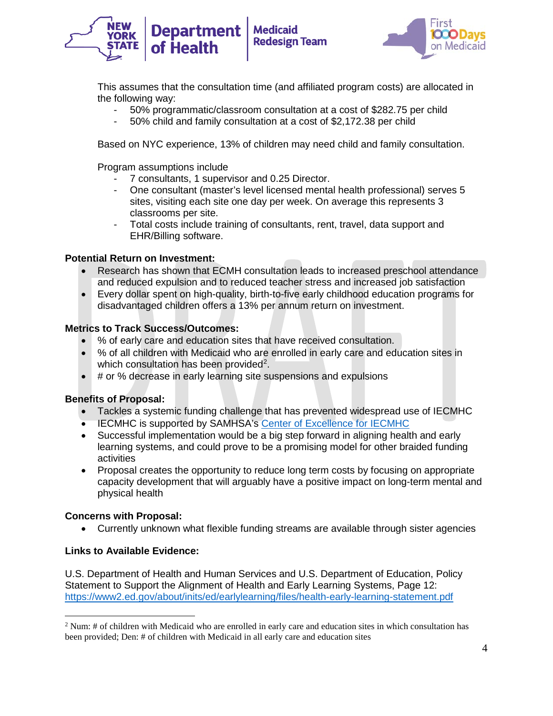



This assumes that the consultation time (and affiliated program costs) are allocated in the following way:

- 50% programmatic/classroom consultation at a cost of \$282.75 per child
- 50% child and family consultation at a cost of \$2,172.38 per child

Based on NYC experience, 13% of children may need child and family consultation.

Program assumptions include

- 7 consultants, 1 supervisor and 0.25 Director.
- One consultant (master's level licensed mental health professional) serves 5 sites, visiting each site one day per week. On average this represents 3 classrooms per site.
- Total costs include training of consultants, rent, travel, data support and EHR/Billing software.

#### **Potential Return on Investment:**

- Research has shown that ECMH consultation leads to increased preschool attendance and reduced expulsion and to reduced teacher stress and increased job satisfaction
- Every dollar spent on high-quality, birth-to-five early childhood education programs for disadvantaged children offers a 13% per annum return on investment.

#### **Metrics to Track Success/Outcomes:**

- % of early care and education sites that have received consultation.
- % of all children with Medicaid who are enrolled in early care and education sites in which consultation has been provided<sup>[2](#page-29-0)</sup>.
- # or % decrease in early learning site suspensions and expulsions

## **Benefits of Proposal:**

- Tackles a systemic funding challenge that has prevented widespread use of IECMHC
- IECMHC is supported by SAMHSA's [Center of Excellence for IECMHC](https://www.samhsa.gov/iecmhc)
- Successful implementation would be a big step forward in aligning health and early learning systems, and could prove to be a promising model for other braided funding activities
- Proposal creates the opportunity to reduce long term costs by focusing on appropriate capacity development that will arguably have a positive impact on long-term mental and physical health

## **Concerns with Proposal:**

• Currently unknown what flexible funding streams are available through sister agencies

## **Links to Available Evidence:**

U.S. Department of Health and Human Services and U.S. Department of Education, Policy Statement to Support the Alignment of Health and Early Learning Systems, Page 12: <https://www2.ed.gov/about/inits/ed/earlylearning/files/health-early-learning-statement.pdf>

<span id="page-29-0"></span> <sup>2</sup> Num: # of children with Medicaid who are enrolled in early care and education sites in which consultation has been provided; Den: # of children with Medicaid in all early care and education sites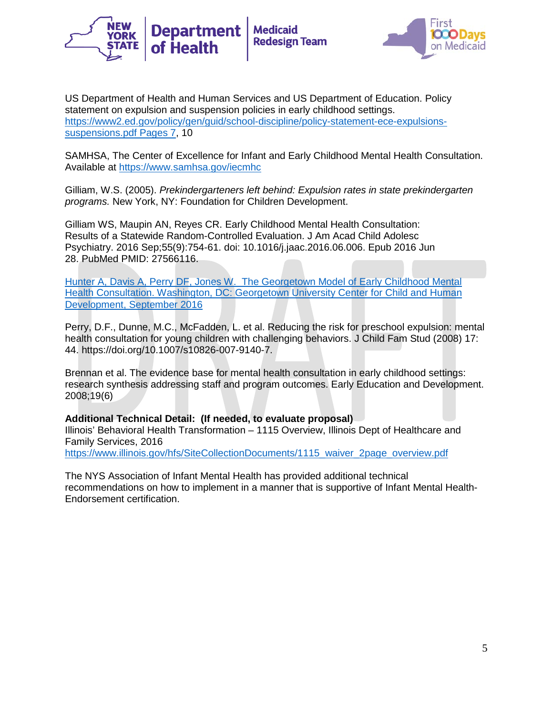



US Department of Health and Human Services and US Department of Education. Policy statement on expulsion and suspension policies in early childhood settings. [https://www2.ed.gov/policy/gen/guid/school-discipline/policy-statement-ece-expulsions](https://www2.ed.gov/policy/gen/guid/school-discipline/policy-statement-ece-expulsions-suspensions.pdf%20Pages%207)[suspensions.pdf Pages 7,](https://www2.ed.gov/policy/gen/guid/school-discipline/policy-statement-ece-expulsions-suspensions.pdf%20Pages%207) 10

SAMHSA, The Center of Excellence for Infant and Early Childhood Mental Health Consultation. Available at<https://www.samhsa.gov/iecmhc>

Gilliam, W.S. (2005). *Prekindergarteners left behind: Expulsion rates in state prekindergarten programs.* New York, NY: Foundation for Children Development.

Gilliam WS, Maupin AN, Reyes CR. Early Childhood Mental Health Consultation: Results of a Statewide Random-Controlled Evaluation. J Am Acad Child Adolesc Psychiatry. 2016 Sep;55(9):754-61. doi: 10.1016/j.jaac.2016.06.006. Epub 2016 Jun 28. PubMed PMID: 27566116.

[Hunter A, Davis A, Perry DF, Jones W. The Georgetown Model of Early Childhood Mental](https://www.ecmhc.org/documents/FCC_SB%20ECMHC%20Manual.pdf)  [Health Consultation. Washington, DC: Georgetown University Center for Child and Human](https://www.ecmhc.org/documents/FCC_SB%20ECMHC%20Manual.pdf)  [Development, September 2016](https://www.ecmhc.org/documents/FCC_SB%20ECMHC%20Manual.pdf)

Perry, D.F., Dunne, M.C., McFadden, L. et al. Reducing the risk for preschool expulsion: mental health consultation for young children with challenging behaviors. J Child Fam Stud (2008) 17: 44. https://doi.org/10.1007/s10826-007-9140-7.

Brennan et al. The evidence base for mental health consultation in early childhood settings: research synthesis addressing staff and program outcomes. Early Education and Development. 2008;19(6)

**Additional Technical Detail: (If needed, to evaluate proposal)**

Illinois' Behavioral Health Transformation – 1115 Overview, Illinois Dept of Healthcare and Family Services, 2016

[https://www.illinois.gov/hfs/SiteCollectionDocuments/1115\\_waiver\\_2page\\_overview.pdf](https://www.illinois.gov/hfs/SiteCollectionDocuments/1115_waiver_2page_overview.pdf)

The NYS Association of Infant Mental Health has provided additional technical recommendations on how to implement in a manner that is supportive of Infant Mental Health-Endorsement certification.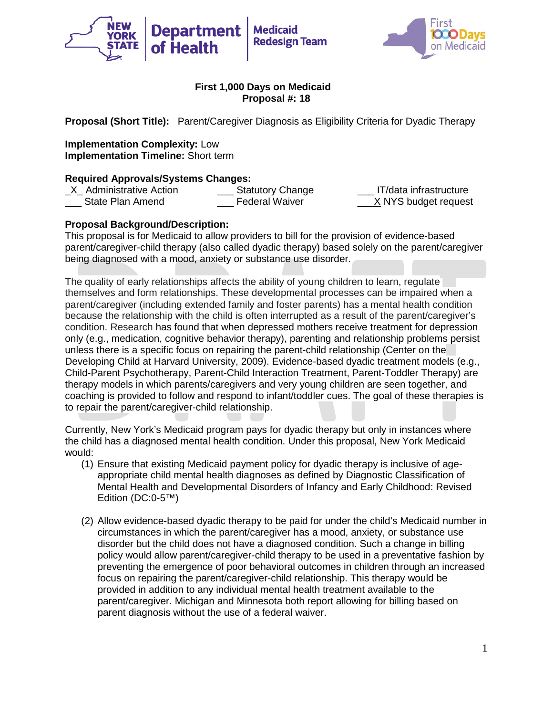



**Proposal (Short Title):** Parent/Caregiver Diagnosis as Eligibility Criteria for Dyadic Therapy

**Implementation Complexity:** Low **Implementation Timeline:** Short term

**Required Approvals/Systems Changes:** \_X\_ Administrative Action \_\_\_ Statutory Change \_\_\_ IT/data infrastructure State Plan Amend **Example 2** Federal Waiver **Example 2** X NYS budget request

## **Proposal Background/Description:**

This proposal is for Medicaid to allow providers to bill for the provision of evidence-based parent/caregiver-child therapy (also called dyadic therapy) based solely on the parent/caregiver being diagnosed with a mood, anxiety or substance use disorder.

The quality of early relationships affects the ability of young children to learn, regulate themselves and form relationships. These developmental processes can be impaired when a parent/caregiver (including extended family and foster parents) has a mental health condition because the relationship with the child is often interrupted as a result of the parent/caregiver's condition. Research has found that when depressed mothers receive treatment for depression only (e.g., medication, cognitive behavior therapy), parenting and relationship problems persist unless there is a specific focus on repairing the parent-child relationship (Center on the Developing Child at Harvard University, 2009). Evidence-based dyadic treatment models (e.g., Child-Parent Psychotherapy, Parent-Child Interaction Treatment, Parent-Toddler Therapy) are therapy models in which parents/caregivers and very young children are seen together, and coaching is provided to follow and respond to infant/toddler cues. The goal of these therapies is to repair the parent/caregiver-child relationship.

Currently, New York's Medicaid program pays for dyadic therapy but only in instances where the child has a diagnosed mental health condition. Under this proposal, New York Medicaid would:

- (1) Ensure that existing Medicaid payment policy for dyadic therapy is inclusive of ageappropriate child mental health diagnoses as defined by Diagnostic Classification of Mental Health and Developmental Disorders of Infancy and Early Childhood: Revised Edition (DC:0-5™)
- (2) Allow evidence-based dyadic therapy to be paid for under the child's Medicaid number in circumstances in which the parent/caregiver has a mood, anxiety, or substance use disorder but the child does not have a diagnosed condition. Such a change in billing policy would allow parent/caregiver-child therapy to be used in a preventative fashion by preventing the emergence of poor behavioral outcomes in children through an increased focus on repairing the parent/caregiver-child relationship. This therapy would be provided in addition to any individual mental health treatment available to the parent/caregiver. Michigan and Minnesota both report allowing for billing based on parent diagnosis without the use of a federal waiver.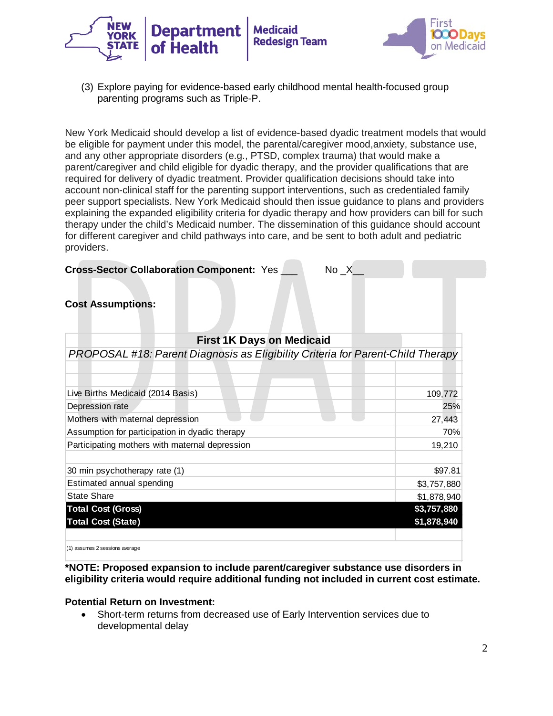



(3) Explore paying for evidence-based early childhood mental health-focused group parenting programs such as Triple-P.

New York Medicaid should develop a list of evidence-based dyadic treatment models that would be eligible for payment under this model, the parental/caregiver mood,anxiety, substance use, and any other appropriate disorders (e.g., PTSD, complex trauma) that would make a parent/caregiver and child eligible for dyadic therapy, and the provider qualifications that are required for delivery of dyadic treatment. Provider qualification decisions should take into account non-clinical staff for the parenting support interventions, such as credentialed family peer support specialists. New York Medicaid should then issue guidance to plans and providers explaining the expanded eligibility criteria for dyadic therapy and how providers can bill for such therapy under the child's Medicaid number. The dissemination of this guidance should account for different caregiver and child pathways into care, and be sent to both adult and pediatric providers.

#### **Cross-Sector Collaboration Component: Yes \_\_\_\_\_\_ No X\_\_**

#### **Cost Assumptions:**

| <b>First 1K Days on Medicaid</b>                                                |             |
|---------------------------------------------------------------------------------|-------------|
| PROPOSAL #18: Parent Diagnosis as Eligibility Criteria for Parent-Child Therapy |             |
|                                                                                 |             |
|                                                                                 |             |
| Live Births Medicaid (2014 Basis)                                               | 109,772     |
| Depression rate                                                                 | 25%         |
| Mothers with maternal depression                                                | 27,443      |
| Assumption for participation in dyadic therapy                                  | 70%         |
| Participating mothers with maternal depression                                  | 19,210      |
|                                                                                 |             |
| 30 min psychotherapy rate (1)                                                   | \$97.81     |
| Estimated annual spending                                                       | \$3,757,880 |
| <b>State Share</b>                                                              | \$1,878,940 |
| <b>Total Cost (Gross)</b>                                                       | \$3,757,880 |
| <b>Total Cost (State)</b>                                                       | \$1,878,940 |
|                                                                                 |             |
|                                                                                 |             |

(1) assumes 2 sessions average

**\*NOTE: Proposed expansion to include parent/caregiver substance use disorders in eligibility criteria would require additional funding not included in current cost estimate.**

#### **Potential Return on Investment:**

• Short-term returns from decreased use of Early Intervention services due to developmental delay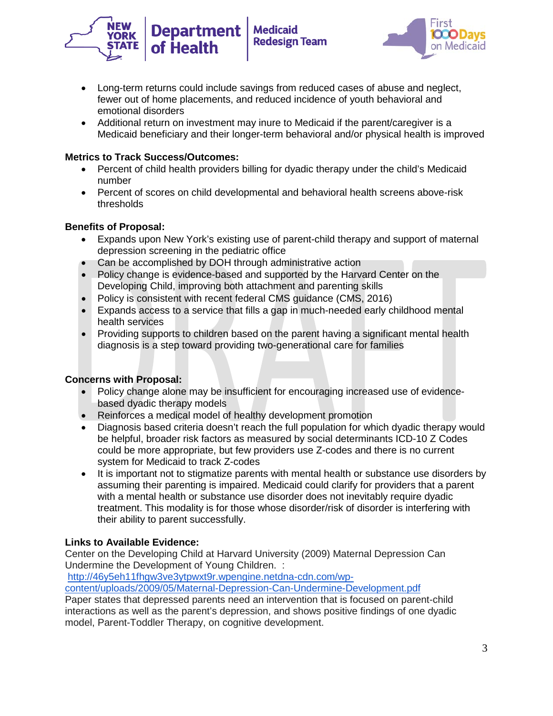



- Long-term returns could include savings from reduced cases of abuse and neglect, fewer out of home placements, and reduced incidence of youth behavioral and emotional disorders
- Additional return on investment may inure to Medicaid if the parent/caregiver is a Medicaid beneficiary and their longer-term behavioral and/or physical health is improved

# **Metrics to Track Success/Outcomes:**

- Percent of child health providers billing for dyadic therapy under the child's Medicaid number
- Percent of scores on child developmental and behavioral health screens above-risk thresholds

# **Benefits of Proposal:**

- Expands upon New York's existing use of parent-child therapy and support of maternal depression screening in the pediatric office
- Can be accomplished by DOH through administrative action
- Policy change is evidence-based and supported by the Harvard Center on the Developing Child, improving both attachment and parenting skills
- Policy is consistent with recent federal CMS guidance (CMS, 2016)
- Expands access to a service that fills a gap in much-needed early childhood mental health services
- Providing supports to children based on the parent having a significant mental health diagnosis is a step toward providing two-generational care for families

## **Concerns with Proposal:**

- Policy change alone may be insufficient for encouraging increased use of evidencebased dyadic therapy models
- Reinforces a medical model of healthy development promotion
- Diagnosis based criteria doesn't reach the full population for which dyadic therapy would be helpful, broader risk factors as measured by social determinants ICD-10 Z Codes could be more appropriate, but few providers use Z-codes and there is no current system for Medicaid to track Z-codes
- It is important not to stigmatize parents with mental health or substance use disorders by assuming their parenting is impaired. Medicaid could clarify for providers that a parent with a mental health or substance use disorder does not inevitably require dyadic treatment. This modality is for those whose disorder/risk of disorder is interfering with their ability to parent successfully.

# **Links to Available Evidence:**

Center on the Developing Child at Harvard University (2009) Maternal Depression Can Undermine the Development of Young Children. :

[http://46y5eh11fhgw3ve3ytpwxt9r.wpengine.netdna-cdn.com/wp-](http://46y5eh11fhgw3ve3ytpwxt9r.wpengine.netdna-cdn.com/wp-content/uploads/2009/05/Maternal-Depression-Can-Undermine-Development.pdf)

[content/uploads/2009/05/Maternal-Depression-Can-Undermine-Development.pdf](http://46y5eh11fhgw3ve3ytpwxt9r.wpengine.netdna-cdn.com/wp-content/uploads/2009/05/Maternal-Depression-Can-Undermine-Development.pdf)

Paper states that depressed parents need an intervention that is focused on parent-child interactions as well as the parent's depression, and shows positive findings of one dyadic model, Parent-Toddler Therapy, on cognitive development.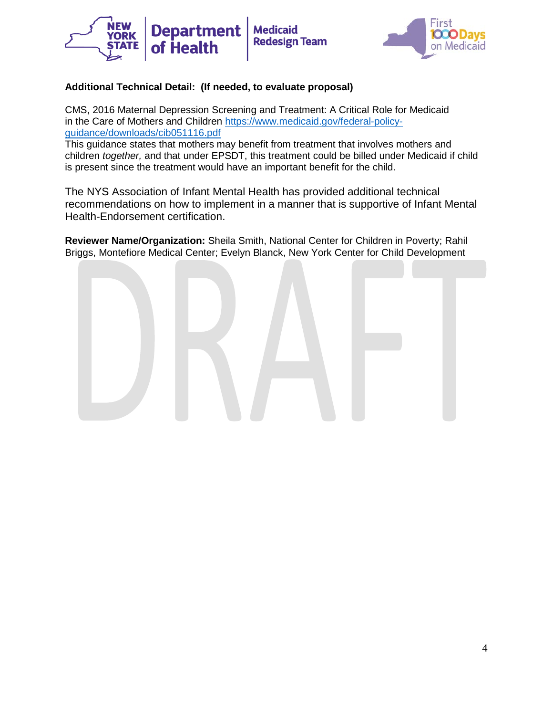



# **Additional Technical Detail: (If needed, to evaluate proposal)**

CMS, 2016 Maternal Depression Screening and Treatment: A Critical Role for Medicaid in the Care of Mothers and Children [https://www.medicaid.gov/federal-policy](https://mail.uhfnyc.org/owa/redir.aspx?C=4fddb0a649224012be4ce75cacf71d4a&URL=https%3a%2f%2fwww.medicaid.gov%2ffederal-policy-guidance%2fdownloads%2fcib051116.pdf)[guidance/downloads/cib051116.pdf](https://mail.uhfnyc.org/owa/redir.aspx?C=4fddb0a649224012be4ce75cacf71d4a&URL=https%3a%2f%2fwww.medicaid.gov%2ffederal-policy-guidance%2fdownloads%2fcib051116.pdf)

This guidance states that mothers may benefit from treatment that involves mothers and children *together,* and that under EPSDT, this treatment could be billed under Medicaid if child is present since the treatment would have an important benefit for the child.

The NYS Association of Infant Mental Health has provided additional technical recommendations on how to implement in a manner that is supportive of Infant Mental Health-Endorsement certification.

**Reviewer Name/Organization:** Sheila Smith, National Center for Children in Poverty; Rahil Briggs, Montefiore Medical Center; Evelyn Blanck, New York Center for Child Development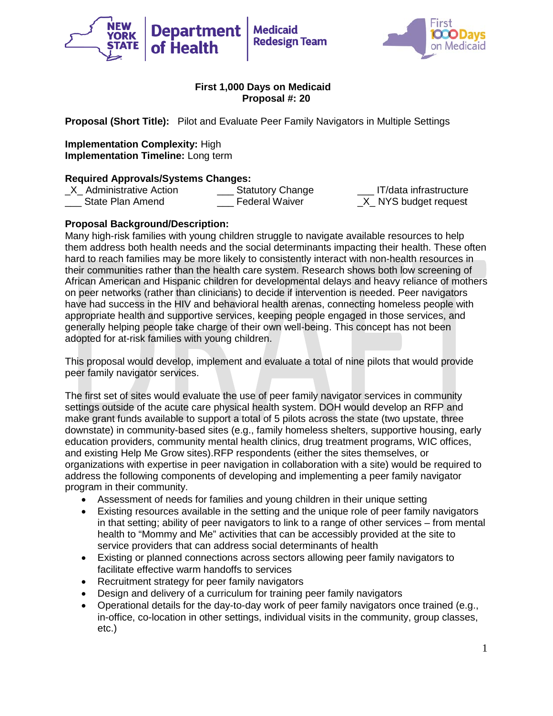



**Proposal (Short Title):** Pilot and Evaluate Peer Family Navigators in Multiple Settings

**Implementation Complexity:** High **Implementation Timeline:** Long term

**Required Approvals/Systems Changes:**<br>X Administrative Action **Statutory Change** \_X\_ Administrative Action \_\_\_ Statutory Change \_\_\_ IT/data infrastructure State Plan Amend **Example 2** Federal Waiver **Example 2 NYS budget request** 

# **Proposal Background/Description:**

Many high-risk families with young children struggle to navigate available resources to help them address both health needs and the social determinants impacting their health. These often hard to reach families may be more likely to consistently interact with non-health resources in their communities rather than the health care system. Research shows both low screening of African American and Hispanic children for developmental delays and heavy reliance of mothers on peer networks (rather than clinicians) to decide if intervention is needed. Peer navigators have had success in the HIV and behavioral health arenas, connecting homeless people with appropriate health and supportive services, keeping people engaged in those services, and generally helping people take charge of their own well-being. This concept has not been adopted for at-risk families with young children.

This proposal would develop, implement and evaluate a total of nine pilots that would provide peer family navigator services.

The first set of sites would evaluate the use of peer family navigator services in community settings outside of the acute care physical health system. DOH would develop an RFP and make grant funds available to support a total of 5 pilots across the state (two upstate, three downstate) in community-based sites (e.g., family homeless shelters, supportive housing, early education providers, community mental health clinics, drug treatment programs, WIC offices, and existing Help Me Grow sites).RFP respondents (either the sites themselves, or organizations with expertise in peer navigation in collaboration with a site) would be required to address the following components of developing and implementing a peer family navigator program in their community.

- Assessment of needs for families and young children in their unique setting
- Existing resources available in the setting and the unique role of peer family navigators in that setting; ability of peer navigators to link to a range of other services – from mental health to "Mommy and Me" activities that can be accessibly provided at the site to service providers that can address social determinants of health
- Existing or planned connections across sectors allowing peer family navigators to facilitate effective warm handoffs to services
- Recruitment strategy for peer family navigators
- Design and delivery of a curriculum for training peer family navigators
- Operational details for the day-to-day work of peer family navigators once trained (e.g., in-office, co-location in other settings, individual visits in the community, group classes, etc.)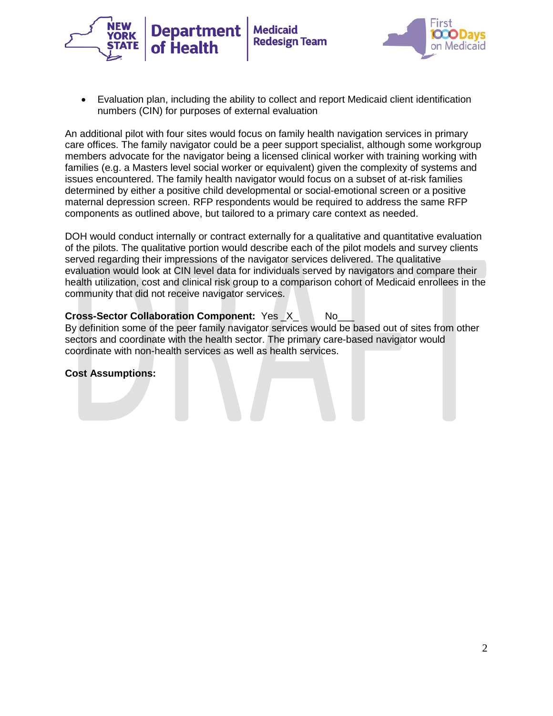



• Evaluation plan, including the ability to collect and report Medicaid client identification numbers (CIN) for purposes of external evaluation

**Medicaid** 

**Redesign Team** 

An additional pilot with four sites would focus on family health navigation services in primary care offices. The family navigator could be a peer support specialist, although some workgroup members advocate for the navigator being a licensed clinical worker with training working with families (e.g. a Masters level social worker or equivalent) given the complexity of systems and issues encountered. The family health navigator would focus on a subset of at-risk families determined by either a positive child developmental or social-emotional screen or a positive maternal depression screen. RFP respondents would be required to address the same RFP components as outlined above, but tailored to a primary care context as needed.

DOH would conduct internally or contract externally for a qualitative and quantitative evaluation of the pilots. The qualitative portion would describe each of the pilot models and survey clients served regarding their impressions of the navigator services delivered. The qualitative evaluation would look at CIN level data for individuals served by navigators and compare their health utilization, cost and clinical risk group to a comparison cohort of Medicaid enrollees in the community that did not receive navigator services.

# **Cross-Sector Collaboration Component: Yes X\_ No\_**

By definition some of the peer family navigator services would be based out of sites from other sectors and coordinate with the health sector. The primary care-based navigator would coordinate with non-health services as well as health services.

#### **Cost Assumptions:**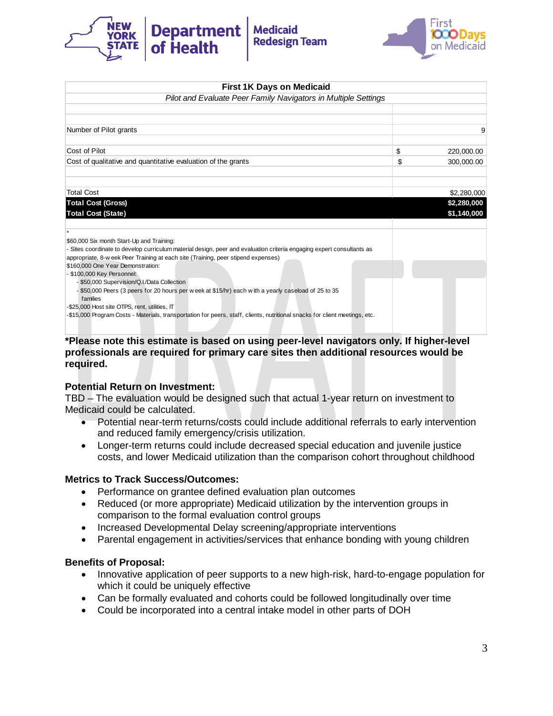



| <b>First 1K Days on Medicaid</b>                                                                                                                                                                                                                        |                            |
|---------------------------------------------------------------------------------------------------------------------------------------------------------------------------------------------------------------------------------------------------------|----------------------------|
| Pilot and Evaluate Peer Family Navigators in Multiple Settings                                                                                                                                                                                          |                            |
|                                                                                                                                                                                                                                                         |                            |
| Number of Pilot grants                                                                                                                                                                                                                                  | 9                          |
| Cost of Pilot                                                                                                                                                                                                                                           | \$<br>220,000.00           |
| Cost of qualitative and quantitative evaluation of the grants                                                                                                                                                                                           | \$<br>300,000.00           |
| <b>Total Cost</b>                                                                                                                                                                                                                                       | \$2,280,000                |
| <b>Total Cost (Gross)</b><br><b>Total Cost (State)</b>                                                                                                                                                                                                  | \$2,280,000<br>\$1,140,000 |
|                                                                                                                                                                                                                                                         |                            |
| \$60,000 Six month Start-Up and Training:<br>- Sites coordinate to develop curriculum material design, peer and evaluation criteria engaging expert consultants as<br>appropriate, 8-w eek Peer Training at each site (Training, peer stipend expenses) |                            |
| \$160,000 One Year Demonstration:<br>- \$100,000 Key Personnel:                                                                                                                                                                                         |                            |
| - \$50,000 Supervision/Q.I./Data Collection<br>- \$50,000 Peers (3 peers for 20 hours per w eek at \$15/hr) each with a yearly caseload of 25 to 35<br>families                                                                                         |                            |
| -\$25,000 Host site OTPS, rent, utilities, IT                                                                                                                                                                                                           |                            |
| -\$15,000 Program Costs - Materials, transportation for peers, staff, clients, nutritional snacks for client meetings, etc.                                                                                                                             |                            |

#### **\*Please note this estimate is based on using peer-level navigators only. If higher-level professionals are required for primary care sites then additional resources would be required.**

## **Potential Return on Investment:**

TBD – The evaluation would be designed such that actual 1-year return on investment to Medicaid could be calculated.

- Potential near-term returns/costs could include additional referrals to early intervention and reduced family emergency/crisis utilization.
- Longer-term returns could include decreased special education and juvenile justice costs, and lower Medicaid utilization than the comparison cohort throughout childhood

#### **Metrics to Track Success/Outcomes:**

- Performance on grantee defined evaluation plan outcomes
- Reduced (or more appropriate) Medicaid utilization by the intervention groups in comparison to the formal evaluation control groups
- Increased Developmental Delay screening/appropriate interventions
- Parental engagement in activities/services that enhance bonding with young children

#### **Benefits of Proposal:**

- Innovative application of peer supports to a new high-risk, hard-to-engage population for which it could be uniquely effective
- Can be formally evaluated and cohorts could be followed longitudinally over time
- Could be incorporated into a central intake model in other parts of DOH